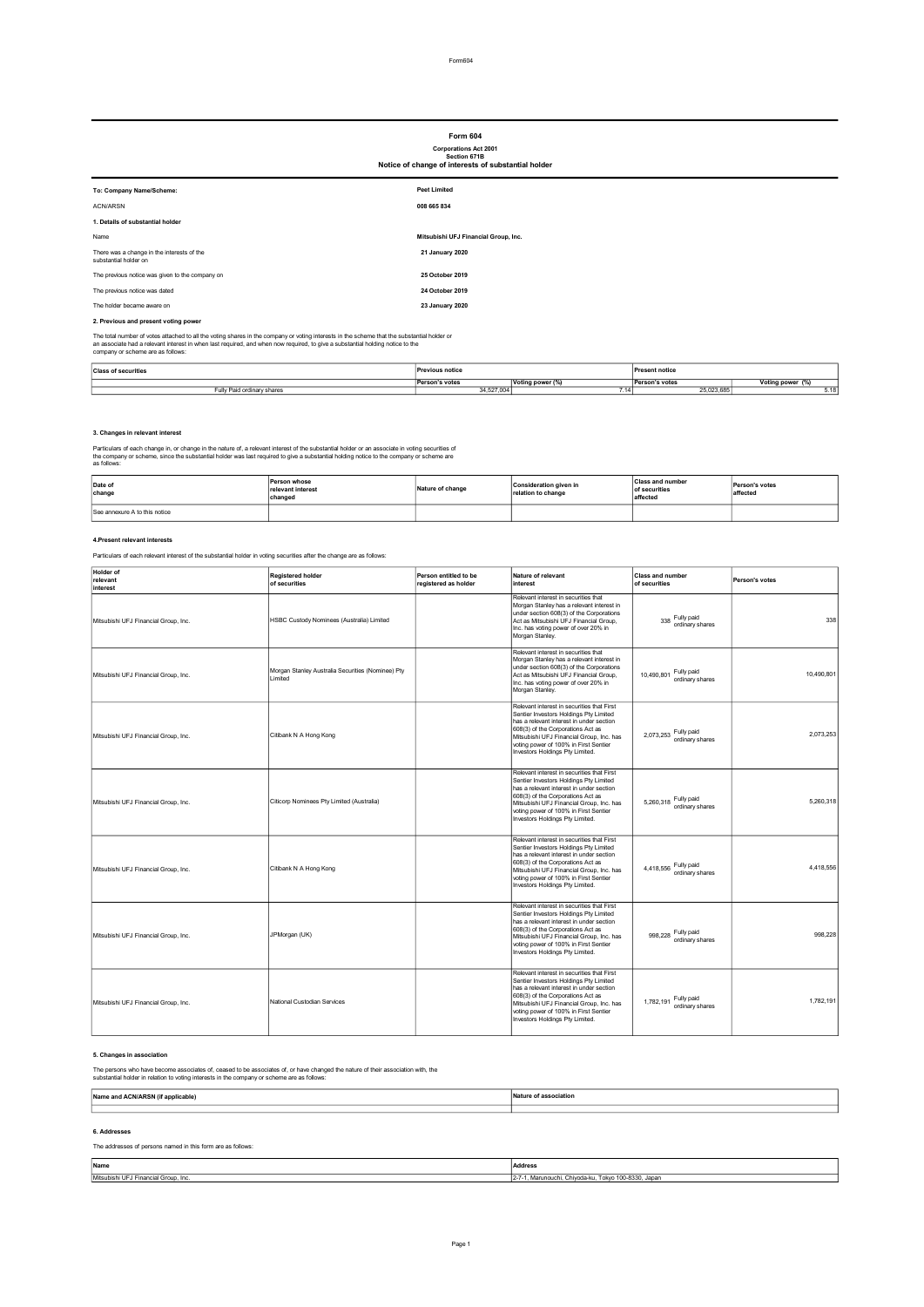# Form 604

## Corporations Act 2001 Section 671B Notice of change of interests of substantial holder

| <b>ROUGE OF GRINGE OF HILGIGS</b> OF SUBSIDING HORGE                                                                                        |                                      |  |  |
|---------------------------------------------------------------------------------------------------------------------------------------------|--------------------------------------|--|--|
| To: Company Name/Scheme:                                                                                                                    | <b>Peet Limited</b>                  |  |  |
| ACN/ARSN                                                                                                                                    | 008 665 834                          |  |  |
| 1. Details of substantial holder                                                                                                            |                                      |  |  |
| Name                                                                                                                                        | Mitsubishi UFJ Financial Group, Inc. |  |  |
| There was a change in the interests of the<br>substantial holder on                                                                         | 21 January 2020                      |  |  |
| The previous notice was given to the company on                                                                                             | 25 October 2019                      |  |  |
| The previous notice was dated                                                                                                               | 24 October 2019                      |  |  |
| The holder became aware on                                                                                                                  | 23 January 2020                      |  |  |
| 2. Previous and present voting power                                                                                                        |                                      |  |  |
| The total number of votes attached to all the voting shares in the company or voting interests in the scheme that the substantial holder or |                                      |  |  |

The total number of votes attached to all the voting shares in the company or voting interests in the scheme that the substantial holder or<br>an associate had a relevant interest in when last required, and when now required,

| <b>Class of securities</b><br>. | <b>Previous notice</b><br>. |                       | sent notice<br>. |              |
|---------------------------------|-----------------------------|-----------------------|------------------|--------------|
|                                 | 's votes<br>Perst.          | ,,,,,,,,,<br>,,,,,,,, | : vote:          |              |
| ordin<br>shares<br>um.          | 34,527,004                  | 14                    | 25,023,685       | <b>.J.IL</b> |

#### 3. Changes in relevant interest

Particulars of each change in, or change in the nature of, a relevant interest of the substantial holder or an associate in voting securities of<br>the company or scheme, since the substantial holder was last required to give

| Date of<br>change             | Person whose<br>relevant interest<br>changed | Nature of change | Consideration given in<br>relation to change | <b>Class and number</b><br>of securities<br>affected | Person's votes<br>affected |
|-------------------------------|----------------------------------------------|------------------|----------------------------------------------|------------------------------------------------------|----------------------------|
| See annexure A to this notice |                                              |                  |                                              |                                                      |                            |

#### 4.Present relevant interests

Particulars of each relevant interest of the substantial holder in voting securities after the change are as follows:

| Holder of<br>relevant<br>interest    | <b>Registered holder</b><br>of securities                    | Person entitled to be<br>registered as holder | Nature of relevant<br>interest                                                                                                                                                                                                                                                                | <b>Class and number</b><br>of securities    | Person's votes |
|--------------------------------------|--------------------------------------------------------------|-----------------------------------------------|-----------------------------------------------------------------------------------------------------------------------------------------------------------------------------------------------------------------------------------------------------------------------------------------------|---------------------------------------------|----------------|
| Mitsubishi UFJ Financial Group, Inc. | HSBC Custody Nominees (Australia) Limited                    |                                               | Relevant interest in securities that<br>Morgan Stanley has a relevant interest in<br>under section 608(3) of the Corporations<br>Act as Mitsubishi UFJ Financial Group,<br>Inc. has voting power of over 20% in<br>Morgan Stanley.                                                            | Fully paid<br>338<br>ordinary shares        | 338            |
| Mitsubishi UFJ Financial Group, Inc. | Morgan Stanley Australia Securities (Nominee) Pty<br>Limited |                                               | Relevant interest in securities that<br>Morgan Stanley has a relevant interest in<br>under section 608(3) of the Corporations<br>Act as Mitsubishi UFJ Financial Group.<br>Inc. has voting power of over 20% in<br>Morgan Stanley.                                                            | Fully paid<br>10.490.801<br>ordinary shares | 10,490,801     |
| Mitsubishi UFJ Financial Group, Inc. | Citibank N A Hong Kong                                       |                                               | Relevant interest in securities that First<br>Sentier Investors Holdings Pty Limited<br>has a relevant interest in under section<br>608(3) of the Corporations Act as<br>Mitsubishi UFJ Financial Group, Inc. has<br>voting power of 100% in First Sentier<br>Investors Holdings Pty Limited. | Fully paid<br>2.073.253<br>ordinary shares  | 2.073.253      |
| Mitsubishi UFJ Financial Group, Inc. | Citicorp Nominees Pty Limited (Australia)                    |                                               | Relevant interest in securities that First<br>Sentier Investors Holdings Pty Limited<br>has a relevant interest in under section<br>608(3) of the Corporations Act as<br>Mitsubishi UFJ Financial Group, Inc. has<br>voting power of 100% in First Sentier<br>Investors Holdings Pty Limited. | Fully paid<br>5.260.318<br>ordinary shares  | 5.260.318      |
| Mitsubishi UFJ Financial Group, Inc. | Citibank N A Hong Kong                                       |                                               | Relevant interest in securities that First<br>Sentier Investors Holdings Pty Limited<br>has a relevant interest in under section<br>608(3) of the Corporations Act as<br>Mitsubishi UFJ Financial Group, Inc. has<br>voting power of 100% in First Sentier<br>Investors Holdings Pty Limited. | Fully paid<br>4,418,556<br>ordinary shares  | 4,418,556      |
| Mitsubishi UFJ Financial Group, Inc. | JPMorgan (UK)                                                |                                               | Relevant interest in securities that First<br>Sentier Investors Holdings Pty Limited<br>has a relevant interest in under section<br>608(3) of the Corporations Act as<br>Mitsubishi UFJ Financial Group, Inc. has<br>voting power of 100% in First Sentier<br>Investors Holdings Pty Limited. | Fully paid<br>998.228<br>ordinary shares    | 998.228        |
| Mitsubishi UFJ Financial Group, Inc. | National Custodian Services                                  |                                               | Relevant interest in securities that First<br>Sentier Investors Holdings Pty Limited<br>has a relevant interest in under section<br>608(3) of the Corporations Act as<br>Mitsubishi UFJ Financial Group, Inc. has<br>voting power of 100% in First Sentier<br>Investors Holdings Pty Limited. | Fully paid<br>1,782,191<br>ordinary shares  | 1.782.191      |

#### 5. Changes in association

The persons who have become associates of, ceased to be associates of, or have changed the nature of their association with, the substantial holder in relation to voting interests in the company or scheme are as follows:

| Name ar<br>$\sim$ | $-1411117$ |
|-------------------|------------|
|                   |            |
|                   |            |

### 6. Addresses

The addresses of persons named in this form are as follows:

| Name                                 | Address                                              |
|--------------------------------------|------------------------------------------------------|
| Mitsubishi UFJ Financial Group, Inc. | 2-7-1, Marunouchi, Chiyoda-ku, Tokyo 100-8330, Japan |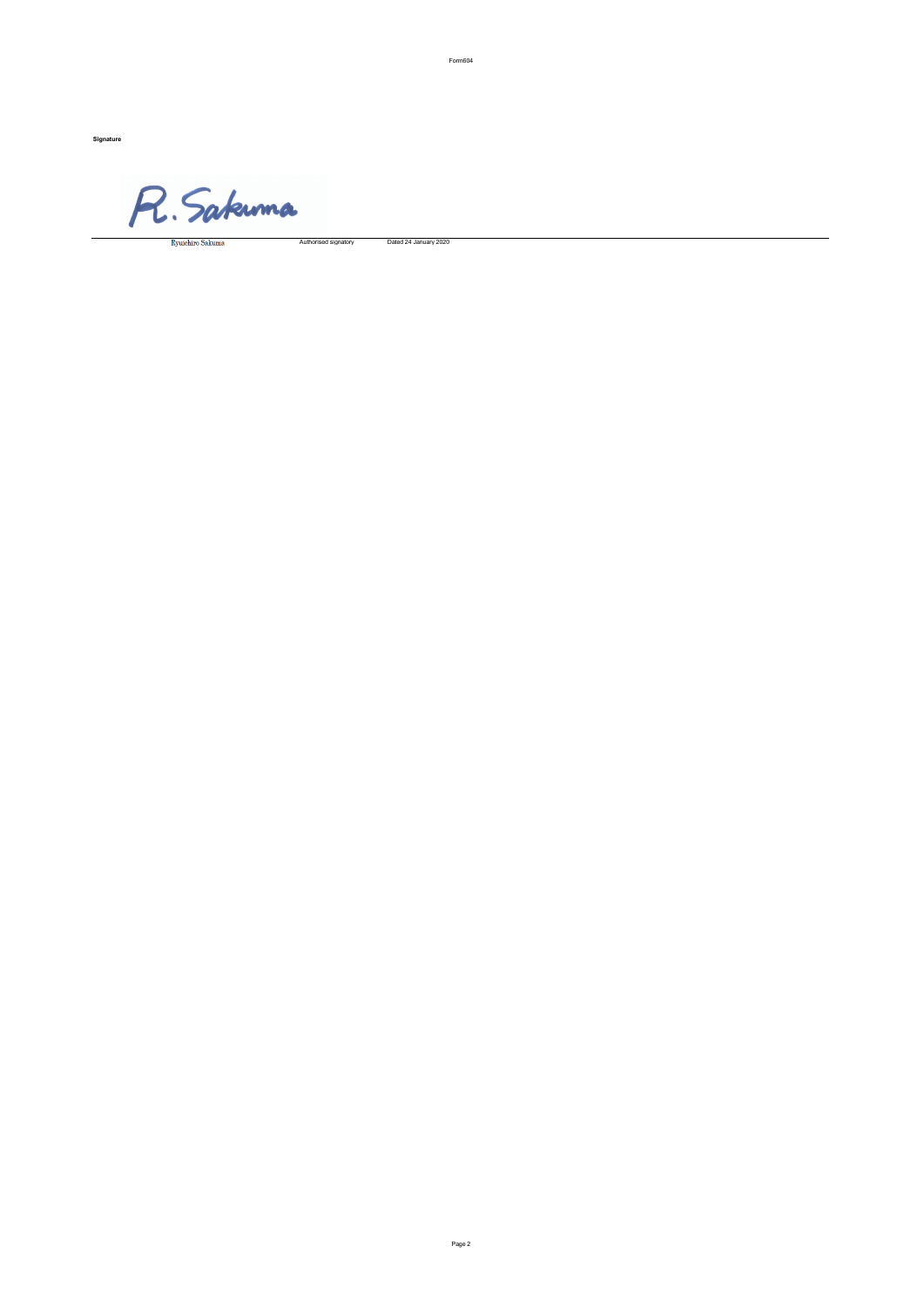Signature

R. Sakuma

#### Authorised signatory Dated 24 January 2020

Form604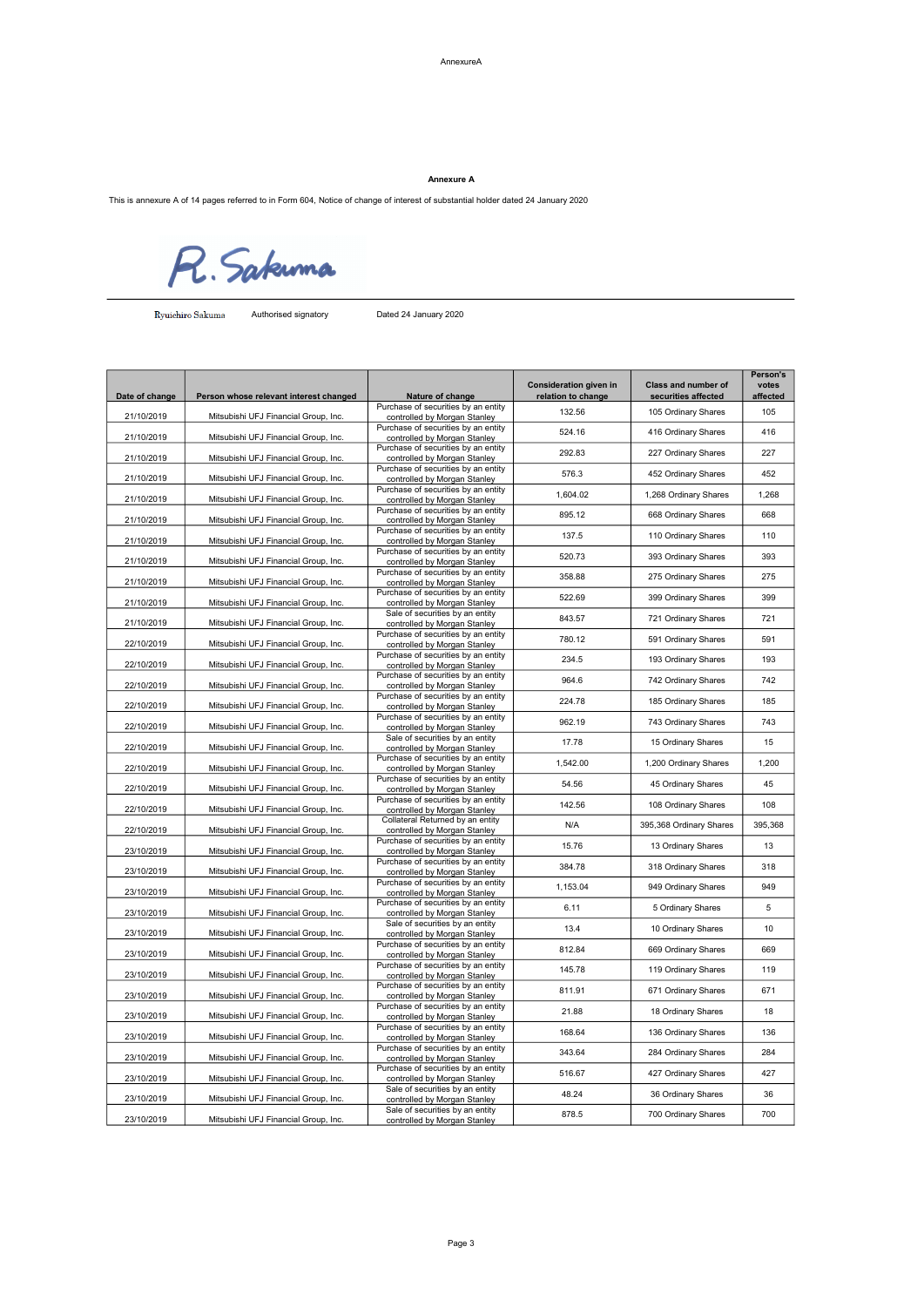Annexure A

This is annexure A of 14 pages referred to in Form 604, Notice of change of interest of substantial holder dated 24 January 2020

R. Sakuma

Authorised signatory Dated 24 January 2020

| Date of change | Person whose relevant interest changed | Nature of change                                                    | Consideration given in<br>relation to change | Class and number of<br>securities affected | Person's<br>votes<br>affected |
|----------------|----------------------------------------|---------------------------------------------------------------------|----------------------------------------------|--------------------------------------------|-------------------------------|
| 21/10/2019     | Mitsubishi UFJ Financial Group, Inc.   | Purchase of securities by an entity<br>controlled by Morgan Stanley | 132.56                                       | 105 Ordinary Shares                        | 105                           |
| 21/10/2019     | Mitsubishi UFJ Financial Group, Inc.   | Purchase of securities by an entity<br>controlled by Morgan Stanley | 524.16                                       | 416 Ordinary Shares                        | 416                           |
| 21/10/2019     | Mitsubishi UFJ Financial Group, Inc.   | Purchase of securities by an entity<br>controlled by Morgan Stanley | 292.83                                       | 227 Ordinary Shares                        | 227                           |
| 21/10/2019     | Mitsubishi UFJ Financial Group, Inc.   | Purchase of securities by an entity<br>controlled by Morgan Stanley | 576.3                                        | 452 Ordinary Shares                        | 452                           |
| 21/10/2019     | Mitsubishi UFJ Financial Group, Inc.   | Purchase of securities by an entity<br>controlled by Morgan Stanley | 1,604.02                                     | 1,268 Ordinary Shares                      | 1,268                         |
| 21/10/2019     | Mitsubishi UFJ Financial Group, Inc.   | Purchase of securities by an entity<br>controlled by Morgan Stanley | 895.12                                       | 668 Ordinary Shares                        | 668                           |
| 21/10/2019     | Mitsubishi UFJ Financial Group, Inc.   | Purchase of securities by an entity<br>controlled by Morgan Stanley | 137.5                                        | 110 Ordinary Shares                        | 110                           |
| 21/10/2019     | Mitsubishi UFJ Financial Group, Inc.   | Purchase of securities by an entity<br>controlled by Morgan Stanley | 520.73                                       | 393 Ordinary Shares                        | 393                           |
| 21/10/2019     | Mitsubishi UFJ Financial Group, Inc.   | Purchase of securities by an entity<br>controlled by Morgan Stanley | 358.88                                       | 275 Ordinary Shares                        | 275                           |
| 21/10/2019     | Mitsubishi UFJ Financial Group, Inc.   | Purchase of securities by an entity<br>controlled by Morgan Stanley | 522.69                                       | 399 Ordinary Shares                        | 399                           |
| 21/10/2019     | Mitsubishi UFJ Financial Group, Inc.   | Sale of securities by an entity<br>controlled by Morgan Stanley     | 843.57                                       | 721 Ordinary Shares                        | 721                           |
| 22/10/2019     | Mitsubishi UFJ Financial Group, Inc.   | Purchase of securities by an entity<br>controlled by Morgan Stanley | 780.12                                       | 591 Ordinary Shares                        | 591                           |
| 22/10/2019     | Mitsubishi UFJ Financial Group, Inc.   | Purchase of securities by an entity<br>controlled by Morgan Stanley | 234.5                                        | 193 Ordinary Shares                        | 193                           |
| 22/10/2019     | Mitsubishi UFJ Financial Group, Inc.   | Purchase of securities by an entity<br>controlled by Morgan Stanley | 964.6                                        | 742 Ordinary Shares                        | 742                           |
| 22/10/2019     | Mitsubishi UFJ Financial Group, Inc.   | Purchase of securities by an entity<br>controlled by Morgan Stanley | 224.78                                       | 185 Ordinary Shares                        | 185                           |
| 22/10/2019     | Mitsubishi UFJ Financial Group, Inc.   | Purchase of securities by an entity<br>controlled by Morgan Stanley | 962.19                                       | 743 Ordinary Shares                        | 743                           |
| 22/10/2019     | Mitsubishi UFJ Financial Group, Inc.   | Sale of securities by an entity<br>controlled by Morgan Stanley     | 17.78                                        | 15 Ordinary Shares                         | 15                            |
| 22/10/2019     | Mitsubishi UFJ Financial Group, Inc.   | Purchase of securities by an entity<br>controlled by Morgan Stanley | 1,542.00                                     | 1,200 Ordinary Shares                      | 1,200                         |
| 22/10/2019     | Mitsubishi UFJ Financial Group, Inc.   | Purchase of securities by an entity<br>controlled by Morgan Stanley | 54.56                                        | 45 Ordinary Shares                         | 45                            |
| 22/10/2019     | Mitsubishi UFJ Financial Group, Inc.   | Purchase of securities by an entity<br>controlled by Morgan Stanley | 142.56                                       | 108 Ordinary Shares                        | 108                           |
| 22/10/2019     | Mitsubishi UFJ Financial Group, Inc.   | Collateral Returned by an entity<br>controlled by Morgan Stanley    | N/A                                          | 395,368 Ordinary Shares                    | 395,368                       |
| 23/10/2019     | Mitsubishi UFJ Financial Group, Inc.   | Purchase of securities by an entity<br>controlled by Morgan Stanley | 15.76                                        | 13 Ordinary Shares                         | 13                            |
| 23/10/2019     | Mitsubishi UFJ Financial Group, Inc.   | Purchase of securities by an entity<br>controlled by Morgan Stanley | 384.78                                       | 318 Ordinary Shares                        | 318                           |
| 23/10/2019     | Mitsubishi UFJ Financial Group, Inc.   | Purchase of securities by an entity<br>controlled by Morgan Stanley | 1,153.04                                     | 949 Ordinary Shares                        | 949                           |
| 23/10/2019     | Mitsubishi UFJ Financial Group, Inc.   | Purchase of securities by an entity<br>controlled by Morgan Stanley | 6.11                                         | 5 Ordinary Shares                          | 5                             |
| 23/10/2019     | Mitsubishi UFJ Financial Group, Inc.   | Sale of securities by an entity<br>controlled by Morgan Stanley     | 13.4                                         | 10 Ordinary Shares                         | 10                            |
| 23/10/2019     | Mitsubishi UFJ Financial Group, Inc.   | Purchase of securities by an entity<br>controlled by Morgan Stanley | 812.84                                       | 669 Ordinary Shares                        | 669                           |
| 23/10/2019     | Mitsubishi UFJ Financial Group, Inc.   | Purchase of securities by an entity<br>controlled by Morgan Stanley | 145.78                                       | 119 Ordinary Shares                        | 119                           |
| 23/10/2019     | Mitsubishi UFJ Financial Group, Inc.   | Purchase of securities by an entity<br>controlled by Morgan Stanley | 811.91                                       | 671 Ordinary Shares                        | 671                           |
| 23/10/2019     | Mitsubishi UFJ Financial Group, Inc.   | Purchase of securities by an entity<br>controlled by Morgan Stanley | 21.88                                        | 18 Ordinary Shares                         | 18                            |
| 23/10/2019     | Mitsubishi UFJ Financial Group, Inc.   | Purchase of securities by an entity<br>controlled by Morgan Stanley | 168.64                                       | 136 Ordinary Shares                        | 136                           |
| 23/10/2019     | Mitsubishi UFJ Financial Group, Inc.   | Purchase of securities by an entity<br>controlled by Morgan Stanley | 343.64                                       | 284 Ordinary Shares                        | 284                           |
| 23/10/2019     | Mitsubishi UFJ Financial Group, Inc.   | Purchase of securities by an entity<br>controlled by Morgan Stanley | 516.67                                       | 427 Ordinary Shares                        | 427                           |
| 23/10/2019     | Mitsubishi UFJ Financial Group, Inc.   | Sale of securities by an entity<br>controlled by Morgan Stanley     | 48.24                                        | 36 Ordinary Shares                         | 36                            |
| 23/10/2019     | Mitsubishi UFJ Financial Group, Inc.   | Sale of securities by an entity<br>controlled by Morgan Stanley     | 878.5                                        | 700 Ordinary Shares                        | 700                           |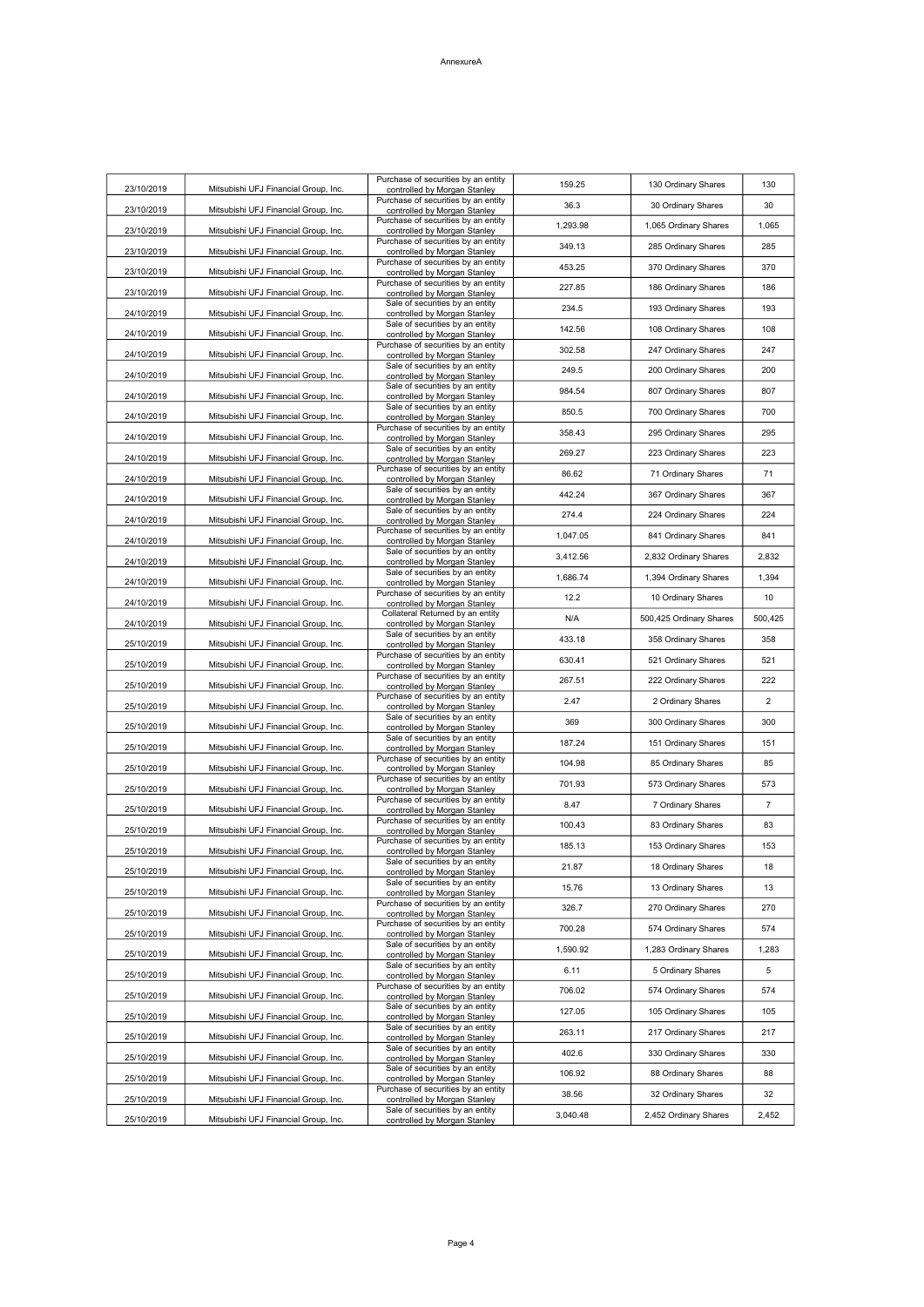| 23/10/2019 | Mitsubishi UFJ Financial Group, Inc. | Purchase of securities by an entity<br>controlled by Morgan Stanley | 159.25   | 130 Ordinary Shares     | 130            |
|------------|--------------------------------------|---------------------------------------------------------------------|----------|-------------------------|----------------|
| 23/10/2019 | Mitsubishi UFJ Financial Group, Inc. | Purchase of securities by an entity<br>controlled by Morgan Stanley | 36.3     | 30 Ordinary Shares      | 30             |
| 23/10/2019 | Mitsubishi UFJ Financial Group, Inc. | Purchase of securities by an entity<br>controlled by Morgan Stanley | 1,293.98 | 1,065 Ordinary Shares   | 1,065          |
| 23/10/2019 | Mitsubishi UFJ Financial Group, Inc. | Purchase of securities by an entity<br>controlled by Morgan Stanley | 349.13   | 285 Ordinary Shares     | 285            |
| 23/10/2019 | Mitsubishi UFJ Financial Group, Inc. | Purchase of securities by an entity<br>controlled by Morgan Stanley | 453.25   | 370 Ordinary Shares     | 370            |
| 23/10/2019 | Mitsubishi UFJ Financial Group, Inc. | Purchase of securities by an entity<br>controlled by Morgan Stanley | 227.85   | 186 Ordinary Shares     | 186            |
| 24/10/2019 | Mitsubishi UFJ Financial Group, Inc. | Sale of securities by an entity<br>controlled by Morgan Stanley     | 234.5    | 193 Ordinary Shares     | 193            |
| 24/10/2019 | Mitsubishi UFJ Financial Group, Inc. | Sale of securities by an entity<br>controlled by Morgan Stanley     | 142.56   | 108 Ordinary Shares     | 108            |
| 24/10/2019 | Mitsubishi UFJ Financial Group, Inc. | Purchase of securities by an entity                                 | 302.58   | 247 Ordinary Shares     | 247            |
| 24/10/2019 | Mitsubishi UFJ Financial Group, Inc. | controlled by Morgan Stanley<br>Sale of securities by an entity     | 249.5    | 200 Ordinary Shares     | 200            |
| 24/10/2019 | Mitsubishi UFJ Financial Group, Inc. | controlled by Morgan Stanley<br>Sale of securities by an entity     | 984.54   | 807 Ordinary Shares     | 807            |
|            |                                      | controlled by Morgan Stanley<br>Sale of securities by an entity     | 850.5    | 700 Ordinary Shares     | 700            |
| 24/10/2019 | Mitsubishi UFJ Financial Group, Inc. | controlled by Morgan Stanley<br>Purchase of securities by an entity | 358.43   | 295 Ordinary Shares     | 295            |
| 24/10/2019 | Mitsubishi UFJ Financial Group, Inc. | controlled by Morgan Stanley<br>Sale of securities by an entity     | 269.27   | 223 Ordinary Shares     | 223            |
| 24/10/2019 | Mitsubishi UFJ Financial Group, Inc. | controlled by Morgan Stanley<br>Purchase of securities by an entity | 86.62    | 71 Ordinary Shares      | 71             |
| 24/10/2019 | Mitsubishi UFJ Financial Group, Inc. | controlled by Morgan Stanley<br>Sale of securities by an entity     | 442.24   | 367 Ordinary Shares     | 367            |
| 24/10/2019 | Mitsubishi UFJ Financial Group, Inc. | controlled by Morgan Stanley<br>Sale of securities by an entity     | 274.4    | 224 Ordinary Shares     | 224            |
| 24/10/2019 | Mitsubishi UFJ Financial Group, Inc. | controlled by Morgan Stanley<br>Purchase of securities by an entity |          |                         | 841            |
| 24/10/2019 | Mitsubishi UFJ Financial Group, Inc. | controlled by Morgan Stanley<br>Sale of securities by an entity     | 1,047.05 | 841 Ordinary Shares     |                |
| 24/10/2019 | Mitsubishi UFJ Financial Group, Inc. | controlled by Morgan Stanley<br>Sale of securities by an entity     | 3,412.56 | 2,832 Ordinary Shares   | 2,832          |
| 24/10/2019 | Mitsubishi UFJ Financial Group, Inc. | controlled by Morgan Stanley<br>Purchase of securities by an entity | 1.686.74 | 1,394 Ordinary Shares   | 1,394          |
| 24/10/2019 | Mitsubishi UFJ Financial Group, Inc. | controlled by Morgan Stanley<br>Collateral Returned by an entity    | 12.2     | 10 Ordinary Shares      | 10             |
| 24/10/2019 | Mitsubishi UFJ Financial Group, Inc. | controlled by Morgan Stanley<br>Sale of securities by an entity     | N/A      | 500,425 Ordinary Shares | 500,425        |
| 25/10/2019 | Mitsubishi UFJ Financial Group, Inc. | controlled by Morgan Stanley<br>Purchase of securities by an entity | 433.18   | 358 Ordinary Shares     | 358            |
| 25/10/2019 | Mitsubishi UFJ Financial Group, Inc. | controlled by Morgan Stanley                                        | 630.41   | 521 Ordinary Shares     | 521            |
| 25/10/2019 | Mitsubishi UFJ Financial Group, Inc. | Purchase of securities by an entity<br>controlled by Morgan Stanley | 267.51   | 222 Ordinary Shares     | 222            |
| 25/10/2019 | Mitsubishi UFJ Financial Group, Inc. | Purchase of securities by an entity<br>controlled by Morgan Stanley | 2.47     | 2 Ordinary Shares       | $\overline{2}$ |
| 25/10/2019 | Mitsubishi UFJ Financial Group, Inc. | Sale of securities by an entity<br>controlled by Morgan Stanley     | 369      | 300 Ordinary Shares     | 300            |
| 25/10/2019 | Mitsubishi UFJ Financial Group, Inc. | Sale of securities by an entity<br>controlled by Morgan Stanley     | 187.24   | 151 Ordinary Shares     | 151            |
| 25/10/2019 | Mitsubishi UFJ Financial Group, Inc. | Purchase of securities by an entity<br>controlled by Morgan Stanley | 104.98   | 85 Ordinary Shares      | 85             |
| 25/10/2019 | Mitsubishi UFJ Financial Group, Inc. | Purchase of securities by an entity<br>controlled by Morgan Stanley | 701.93   | 573 Ordinary Shares     | 573            |
| 25/10/2019 | Mitsubishi UFJ Financial Group, Inc. | Purchase of securities by an entity<br>controlled by Morgan Stanley | 8.47     | 7 Ordinary Shares       | 7              |
| 25/10/2019 | Mitsubishi UFJ Financial Group, Inc. | Purchase of securities by an entity<br>controlled by Morgan Stanley | 100.43   | 83 Ordinary Shares      | 83             |
| 25/10/2019 | Mitsubishi UFJ Financial Group, Inc. | Purchase of securities by an entity<br>controlled by Morgan Stanley | 185.13   | 153 Ordinary Shares     | 153            |
| 25/10/2019 | Mitsubishi UFJ Financial Group, Inc. | Sale of securities by an entity<br>controlled by Morgan Stanley     | 21.87    | 18 Ordinary Shares      | 18             |
| 25/10/2019 | Mitsubishi UFJ Financial Group, Inc. | Sale of securities by an entity<br>controlled by Morgan Stanley     | 15.76    | 13 Ordinary Shares      | 13             |
| 25/10/2019 | Mitsubishi UFJ Financial Group, Inc. | Purchase of securities by an entity<br>controlled by Morgan Stanley | 326.7    | 270 Ordinary Shares     | 270            |
| 25/10/2019 | Mitsubishi UFJ Financial Group, Inc. | Purchase of securities by an entity<br>controlled by Morgan Stanley | 700.28   | 574 Ordinary Shares     | 574            |
| 25/10/2019 | Mitsubishi UFJ Financial Group, Inc. | Sale of securities by an entity<br>controlled by Morgan Stanley     | 1,590.92 | 1,283 Ordinary Shares   | 1,283          |
| 25/10/2019 | Mitsubishi UFJ Financial Group, Inc. | Sale of securities by an entity<br>controlled by Morgan Stanley     | 6.11     | 5 Ordinary Shares       | 5              |
| 25/10/2019 | Mitsubishi UFJ Financial Group, Inc. | Purchase of securities by an entity<br>controlled by Morgan Stanley | 706.02   | 574 Ordinary Shares     | 574            |
| 25/10/2019 | Mitsubishi UFJ Financial Group, Inc. | Sale of securities by an entity<br>controlled by Morgan Stanley     | 127.05   | 105 Ordinary Shares     | 105            |
| 25/10/2019 | Mitsubishi UFJ Financial Group, Inc. | Sale of securities by an entity                                     | 263.11   | 217 Ordinary Shares     | 217            |
|            |                                      | controlled by Morgan Stanley<br>Sale of securities by an entity     | 402.6    | 330 Ordinary Shares     | 330            |
| 25/10/2019 | Mitsubishi UFJ Financial Group, Inc. | controlled by Morgan Stanley<br>Sale of securities by an entity     | 106.92   | 88 Ordinary Shares      | 88             |
| 25/10/2019 | Mitsubishi UFJ Financial Group, Inc. | controlled by Morgan Stanley<br>Purchase of securities by an entity | 38.56    | 32 Ordinary Shares      | 32             |
| 25/10/2019 | Mitsubishi UFJ Financial Group, Inc. | controlled by Morgan Stanley<br>Sale of securities by an entity     | 3,040.48 | 2,452 Ordinary Shares   | 2,452          |
| 25/10/2019 | Mitsubishi UFJ Financial Group, Inc. | controlled by Morgan Stanley                                        |          |                         |                |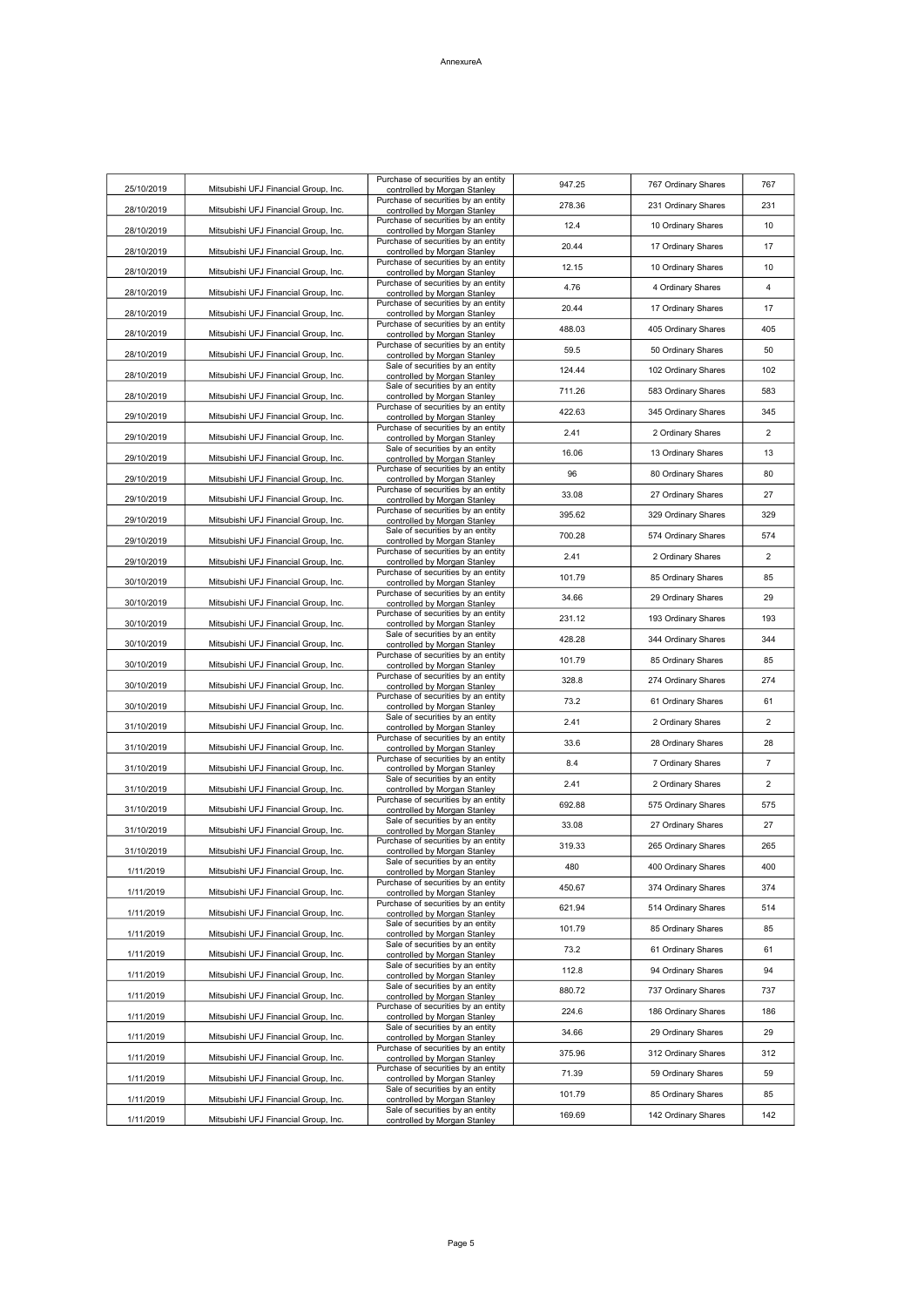| 25/10/2019 | Mitsubishi UFJ Financial Group, Inc. | Purchase of securities by an entity<br>controlled by Morgan Stanley | 947.25 | 767 Ordinary Shares | 767            |
|------------|--------------------------------------|---------------------------------------------------------------------|--------|---------------------|----------------|
| 28/10/2019 | Mitsubishi UFJ Financial Group, Inc. | Purchase of securities by an entity<br>controlled by Morgan Stanley | 278.36 | 231 Ordinary Shares | 231            |
| 28/10/2019 | Mitsubishi UFJ Financial Group, Inc. | Purchase of securities by an entity<br>controlled by Morgan Stanley | 12.4   | 10 Ordinary Shares  | 10             |
| 28/10/2019 | Mitsubishi UFJ Financial Group, Inc. | Purchase of securities by an entity<br>controlled by Morgan Stanley | 20.44  | 17 Ordinary Shares  | 17             |
| 28/10/2019 | Mitsubishi UFJ Financial Group, Inc. | Purchase of securities by an entity<br>controlled by Morgan Stanley | 12.15  | 10 Ordinary Shares  | 10             |
|            |                                      | Purchase of securities by an entity                                 | 4.76   | 4 Ordinary Shares   | $\overline{4}$ |
| 28/10/2019 | Mitsubishi UFJ Financial Group, Inc. | controlled by Morgan Stanley<br>Purchase of securities by an entity | 20.44  | 17 Ordinary Shares  | 17             |
| 28/10/2019 | Mitsubishi UFJ Financial Group, Inc. | controlled by Morgan Stanley<br>Purchase of securities by an entity | 488.03 | 405 Ordinary Shares | 405            |
| 28/10/2019 | Mitsubishi UFJ Financial Group, Inc. | controlled by Morgan Stanley<br>Purchase of securities by an entity | 59.5   | 50 Ordinary Shares  | 50             |
| 28/10/2019 | Mitsubishi UFJ Financial Group, Inc. | controlled by Morgan Stanley<br>Sale of securities by an entity     | 124.44 | 102 Ordinary Shares | 102            |
| 28/10/2019 | Mitsubishi UFJ Financial Group, Inc. | controlled by Morgan Stanley<br>Sale of securities by an entity     | 711.26 | 583 Ordinary Shares | 583            |
| 28/10/2019 | Mitsubishi UFJ Financial Group, Inc. | controlled by Morgan Stanley<br>Purchase of securities by an entity | 422.63 |                     |                |
| 29/10/2019 | Mitsubishi UFJ Financial Group, Inc. | controlled by Morgan Stanley<br>Purchase of securities by an entity |        | 345 Ordinary Shares | 345            |
| 29/10/2019 | Mitsubishi UFJ Financial Group, Inc. | controlled by Morgan Stanley<br>Sale of securities by an entity     | 2.41   | 2 Ordinary Shares   | $\overline{2}$ |
| 29/10/2019 | Mitsubishi UFJ Financial Group, Inc. | controlled by Morgan Stanley<br>Purchase of securities by an entity | 16.06  | 13 Ordinary Shares  | 13             |
| 29/10/2019 | Mitsubishi UFJ Financial Group, Inc. | controlled by Morgan Stanley<br>Purchase of securities by an entity | 96     | 80 Ordinary Shares  | 80             |
| 29/10/2019 | Mitsubishi UFJ Financial Group, Inc. | controlled by Morgan Stanley                                        | 33.08  | 27 Ordinary Shares  | 27             |
| 29/10/2019 | Mitsubishi UFJ Financial Group, Inc. | Purchase of securities by an entity<br>controlled by Morgan Stanley | 395.62 | 329 Ordinary Shares | 329            |
| 29/10/2019 | Mitsubishi UFJ Financial Group, Inc. | Sale of securities by an entity<br>controlled by Morgan Stanley     | 700.28 | 574 Ordinary Shares | 574            |
| 29/10/2019 | Mitsubishi UFJ Financial Group, Inc. | Purchase of securities by an entity<br>controlled by Morgan Stanley | 2.41   | 2 Ordinary Shares   | 2              |
| 30/10/2019 | Mitsubishi UFJ Financial Group, Inc. | Purchase of securities by an entity<br>controlled by Morgan Stanley | 101.79 | 85 Ordinary Shares  | 85             |
| 30/10/2019 | Mitsubishi UFJ Financial Group, Inc. | Purchase of securities by an entity<br>controlled by Morgan Stanley | 34.66  | 29 Ordinary Shares  | 29             |
| 30/10/2019 | Mitsubishi UFJ Financial Group, Inc. | Purchase of securities by an entity<br>controlled by Morgan Stanley | 231.12 | 193 Ordinary Shares | 193            |
| 30/10/2019 | Mitsubishi UFJ Financial Group, Inc. | Sale of securities by an entity<br>controlled by Morgan Stanley     | 428.28 | 344 Ordinary Shares | 344            |
| 30/10/2019 | Mitsubishi UFJ Financial Group, Inc. | Purchase of securities by an entity<br>controlled by Morgan Stanley | 101.79 | 85 Ordinary Shares  | 85             |
| 30/10/2019 | Mitsubishi UFJ Financial Group, Inc. | Purchase of securities by an entity<br>controlled by Morgan Stanley | 328.8  | 274 Ordinary Shares | 274            |
| 30/10/2019 | Mitsubishi UFJ Financial Group, Inc. | Purchase of securities by an entity<br>controlled by Morgan Stanley | 73.2   | 61 Ordinary Shares  | 61             |
| 31/10/2019 | Mitsubishi UFJ Financial Group, Inc. | Sale of securities by an entity<br>controlled by Morgan Stanley     | 2.41   | 2 Ordinary Shares   | $\overline{2}$ |
| 31/10/2019 | Mitsubishi UFJ Financial Group, Inc. | Purchase of securities by an entity                                 | 33.6   | 28 Ordinary Shares  | 28             |
|            |                                      | controlled by Morgan Stanley<br>Purchase of securities by an entity | 8.4    | 7 Ordinary Shares   | $\overline{7}$ |
| 31/10/2019 | Mitsubishi UFJ Financial Group, Inc. | controlled by Morgan Stanley<br>Sale of securities by an entity     | 2.41   | 2 Ordinary Shares   | $\overline{2}$ |
| 31/10/2019 | Mitsubishi UFJ Financial Group, Inc. | controlled by Morgan Stanley<br>Purchase of securities by an entity | 692.88 | 575 Ordinary Shares | 575            |
| 31/10/2019 | Mitsubishi UFJ Financial Group, Inc. | controlled by Morgan Stanley<br>Sale of securities by an entity     | 33.08  | 27 Ordinary Shares  | 27             |
| 31/10/2019 | Mitsubishi UFJ Financial Group, Inc. | controlled by Morgan Stanley<br>Purchase of securities by an entity | 319.33 | 265 Ordinary Shares | 265            |
| 31/10/2019 | Mitsubishi UFJ Financial Group, Inc. | controlled by Morgan Stanley<br>Sale of securities by an entity     | 480    | 400 Ordinary Shares | 400            |
| 1/11/2019  | Mitsubishi UFJ Financial Group, Inc. | controlled by Morgan Stanley<br>Purchase of securities by an entity | 450.67 | 374 Ordinary Shares | 374            |
| 1/11/2019  | Mitsubishi UFJ Financial Group, Inc. | controlled by Morgan Stanley<br>Purchase of securities by an entity |        |                     |                |
| 1/11/2019  | Mitsubishi UFJ Financial Group, Inc. | controlled by Morgan Stanley<br>Sale of securities by an entity     | 621.94 | 514 Ordinary Shares | 514            |
| 1/11/2019  | Mitsubishi UFJ Financial Group, Inc. | controlled by Morgan Stanley<br>Sale of securities by an entity     | 101.79 | 85 Ordinary Shares  | 85             |
| 1/11/2019  | Mitsubishi UFJ Financial Group, Inc. | controlled by Morgan Stanley<br>Sale of securities by an entity     | 73.2   | 61 Ordinary Shares  | 61             |
| 1/11/2019  | Mitsubishi UFJ Financial Group, Inc. | controlled by Morgan Stanley                                        | 112.8  | 94 Ordinary Shares  | 94             |
| 1/11/2019  | Mitsubishi UFJ Financial Group, Inc. | Sale of securities by an entity<br>controlled by Morgan Stanley     | 880.72 | 737 Ordinary Shares | 737            |
| 1/11/2019  | Mitsubishi UFJ Financial Group, Inc. | Purchase of securities by an entity<br>controlled by Morgan Stanley | 224.6  | 186 Ordinary Shares | 186            |
| 1/11/2019  | Mitsubishi UFJ Financial Group, Inc. | Sale of securities by an entity<br>controlled by Morgan Stanley     | 34.66  | 29 Ordinary Shares  | 29             |
| 1/11/2019  | Mitsubishi UFJ Financial Group, Inc. | Purchase of securities by an entity<br>controlled by Morgan Stanley | 375.96 | 312 Ordinary Shares | 312            |
| 1/11/2019  | Mitsubishi UFJ Financial Group, Inc. | Purchase of securities by an entity<br>controlled by Morgan Stanley | 71.39  | 59 Ordinary Shares  | 59             |
| 1/11/2019  | Mitsubishi UFJ Financial Group, Inc. | Sale of securities by an entity<br>controlled by Morgan Stanley     | 101.79 | 85 Ordinary Shares  | 85             |
| 1/11/2019  | Mitsubishi UFJ Financial Group, Inc. | Sale of securities by an entity<br>controlled by Morgan Stanley     | 169.69 | 142 Ordinary Shares | 142            |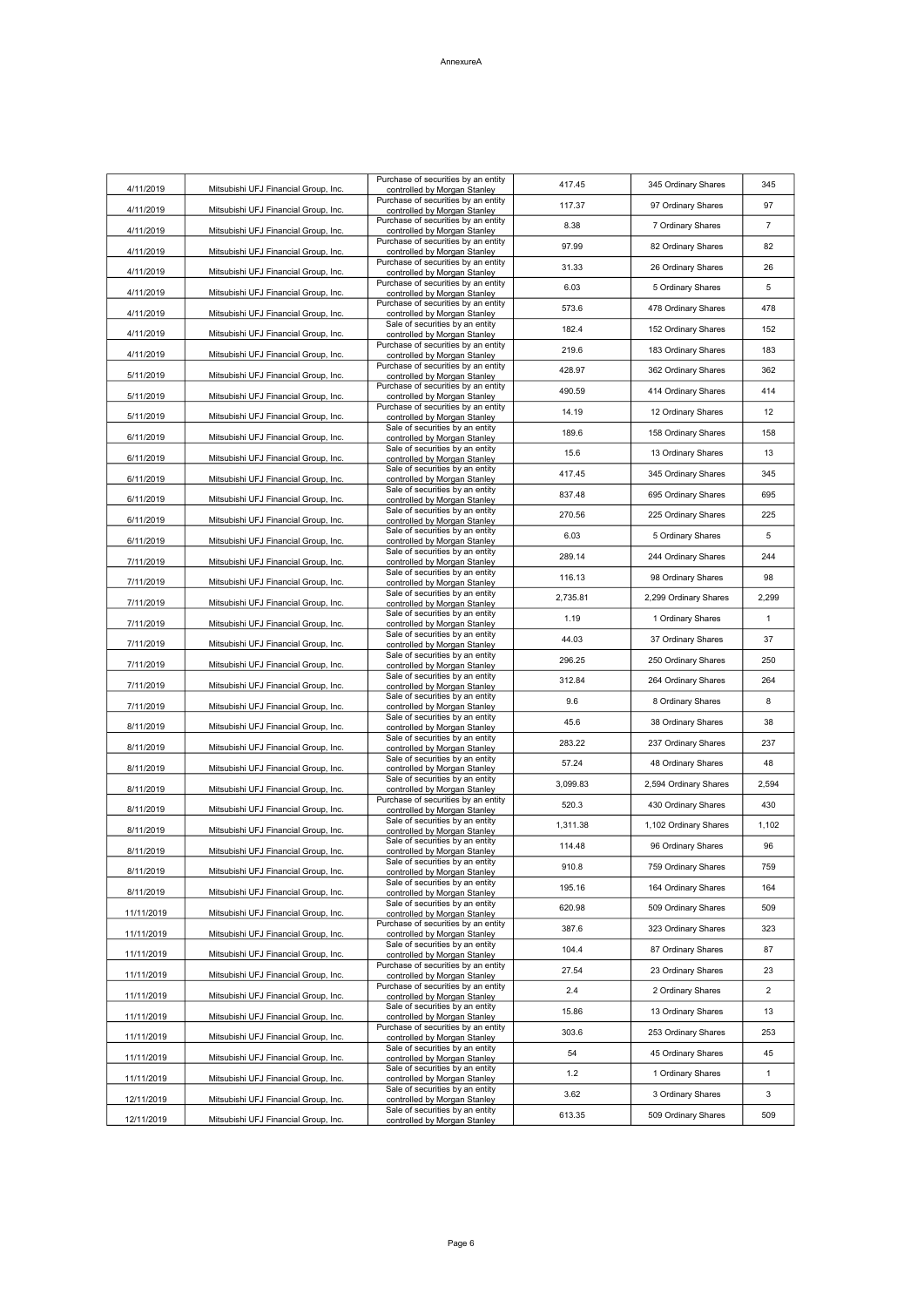| 4/11/2019  | Mitsubishi UFJ Financial Group, Inc. | Purchase of securities by an entity<br>controlled by Morgan Stanley | 417.45   | 345 Ordinary Shares   | 345            |
|------------|--------------------------------------|---------------------------------------------------------------------|----------|-----------------------|----------------|
| 4/11/2019  | Mitsubishi UFJ Financial Group, Inc. | Purchase of securities by an entity<br>controlled by Morgan Stanley | 117.37   | 97 Ordinary Shares    | 97             |
| 4/11/2019  | Mitsubishi UFJ Financial Group, Inc. | Purchase of securities by an entity<br>controlled by Morgan Stanley | 8.38     | 7 Ordinary Shares     | $\overline{7}$ |
| 4/11/2019  | Mitsubishi UFJ Financial Group, Inc. | Purchase of securities by an entity<br>controlled by Morgan Stanley | 97.99    | 82 Ordinary Shares    | 82             |
| 4/11/2019  | Mitsubishi UFJ Financial Group, Inc. | Purchase of securities by an entity<br>controlled by Morgan Stanley | 31.33    | 26 Ordinary Shares    | 26             |
| 4/11/2019  | Mitsubishi UFJ Financial Group, Inc. | Purchase of securities by an entity<br>controlled by Morgan Stanley | 6.03     | 5 Ordinary Shares     | 5              |
| 4/11/2019  | Mitsubishi UFJ Financial Group, Inc. | Purchase of securities by an entity                                 | 573.6    | 478 Ordinary Shares   | 478            |
| 4/11/2019  |                                      | controlled by Morgan Stanley<br>Sale of securities by an entity     | 182.4    | 152 Ordinary Shares   | 152            |
|            | Mitsubishi UFJ Financial Group, Inc. | controlled by Morgan Stanley<br>Purchase of securities by an entity | 219.6    | 183 Ordinary Shares   | 183            |
| 4/11/2019  | Mitsubishi UFJ Financial Group, Inc. | controlled by Morgan Stanley<br>Purchase of securities by an entity | 428.97   | 362 Ordinary Shares   | 362            |
| 5/11/2019  | Mitsubishi UFJ Financial Group, Inc. | controlled by Morgan Stanley<br>Purchase of securities by an entity | 490.59   | 414 Ordinary Shares   | 414            |
| 5/11/2019  | Mitsubishi UFJ Financial Group, Inc. | controlled by Morgan Stanley<br>Purchase of securities by an entity | 14.19    | 12 Ordinary Shares    | 12             |
| 5/11/2019  | Mitsubishi UFJ Financial Group, Inc. | controlled by Morgan Stanley<br>Sale of securities by an entity     | 189.6    | 158 Ordinary Shares   | 158            |
| 6/11/2019  | Mitsubishi UFJ Financial Group, Inc. | controlled by Morgan Stanley<br>Sale of securities by an entity     | 15.6     | 13 Ordinary Shares    | 13             |
| 6/11/2019  | Mitsubishi UFJ Financial Group, Inc. | controlled by Morgan Stanley<br>Sale of securities by an entity     |          |                       | 345            |
| 6/11/2019  | Mitsubishi UFJ Financial Group, Inc. | controlled by Morgan Stanley<br>Sale of securities by an entity     | 417.45   | 345 Ordinary Shares   |                |
| 6/11/2019  | Mitsubishi UFJ Financial Group, Inc. | controlled by Morgan Stanley<br>Sale of securities by an entity     | 837.48   | 695 Ordinary Shares   | 695            |
| 6/11/2019  | Mitsubishi UFJ Financial Group, Inc. | controlled by Morgan Stanley<br>Sale of securities by an entity     | 270.56   | 225 Ordinary Shares   | 225            |
| 6/11/2019  | Mitsubishi UFJ Financial Group, Inc. | controlled by Morgan Stanley<br>Sale of securities by an entity     | 6.03     | 5 Ordinary Shares     | 5              |
| 7/11/2019  | Mitsubishi UFJ Financial Group, Inc. | controlled by Morgan Stanley<br>Sale of securities by an entity     | 289.14   | 244 Ordinary Shares   | 244            |
| 7/11/2019  | Mitsubishi UFJ Financial Group, Inc. | controlled by Morgan Stanley<br>Sale of securities by an entity     | 116.13   | 98 Ordinary Shares    | 98             |
| 7/11/2019  | Mitsubishi UFJ Financial Group, Inc. | controlled by Morgan Stanley                                        | 2,735.81 | 2,299 Ordinary Shares | 2,299          |
| 7/11/2019  | Mitsubishi UFJ Financial Group, Inc. | Sale of securities by an entity<br>controlled by Morgan Stanley     | 1.19     | 1 Ordinary Shares     | $\mathbf{1}$   |
| 7/11/2019  | Mitsubishi UFJ Financial Group, Inc. | Sale of securities by an entity<br>controlled by Morgan Stanley     | 44.03    | 37 Ordinary Shares    | 37             |
| 7/11/2019  | Mitsubishi UFJ Financial Group, Inc. | Sale of securities by an entity<br>controlled by Morgan Stanley     | 296.25   | 250 Ordinary Shares   | 250            |
| 7/11/2019  | Mitsubishi UFJ Financial Group, Inc. | Sale of securities by an entity<br>controlled by Morgan Stanley     | 312.84   | 264 Ordinary Shares   | 264            |
| 7/11/2019  | Mitsubishi UFJ Financial Group, Inc. | Sale of securities by an entity<br>controlled by Morgan Stanley     | 9.6      | 8 Ordinary Shares     | 8              |
| 8/11/2019  | Mitsubishi UFJ Financial Group, Inc. | Sale of securities by an entity<br>controlled by Morgan Stanley     | 45.6     | 38 Ordinary Shares    | 38             |
| 8/11/2019  | Mitsubishi UFJ Financial Group, Inc. | Sale of securities by an entity<br>controlled by Morgan Stanley     | 283.22   | 237 Ordinary Shares   | 237            |
| 8/11/2019  | Mitsubishi UFJ Financial Group, Inc. | Sale of securities by an entity<br>controlled by Morgan Stanley     | 57.24    | 48 Ordinary Shares    | 48             |
| 8/11/2019  | Mitsubishi UFJ Financial Group, Inc. | Sale of securities by an entity<br>controlled by Morgan Stanley     | 3,099.83 | 2,594 Ordinary Shares | 2,594          |
| 8/11/2019  | Mitsubishi UFJ Financial Group, Inc. | Purchase of securities by an entity<br>controlled by Morgan Stanley | 520.3    | 430 Ordinary Shares   | 430            |
| 8/11/2019  | Mitsubishi UFJ Financial Group, Inc. | Sale of securities by an entity<br>controlled by Morgan Stanley     | 1,311.38 | 1,102 Ordinary Shares | 1,102          |
| 8/11/2019  | Mitsubishi UFJ Financial Group, Inc. | Sale of securities by an entity<br>controlled by Morgan Stanley     | 114.48   | 96 Ordinary Shares    | 96             |
| 8/11/2019  | Mitsubishi UFJ Financial Group, Inc. | Sale of securities by an entity<br>controlled by Morgan Stanley     | 910.8    | 759 Ordinary Shares   | 759            |
| 8/11/2019  | Mitsubishi UFJ Financial Group, Inc. | Sale of securities by an entity<br>controlled by Morgan Stanley     | 195.16   | 164 Ordinary Shares   | 164            |
| 11/11/2019 | Mitsubishi UFJ Financial Group, Inc. | Sale of securities by an entity<br>controlled by Morgan Stanley     | 620.98   | 509 Ordinary Shares   | 509            |
| 11/11/2019 | Mitsubishi UFJ Financial Group, Inc. | Purchase of securities by an entity<br>controlled by Morgan Stanley | 387.6    | 323 Ordinary Shares   | 323            |
| 11/11/2019 | Mitsubishi UFJ Financial Group, Inc. | Sale of securities by an entity<br>controlled by Morgan Stanley     | 104.4    | 87 Ordinary Shares    | 87             |
| 11/11/2019 | Mitsubishi UFJ Financial Group, Inc. | Purchase of securities by an entity<br>controlled by Morgan Stanley | 27.54    | 23 Ordinary Shares    | 23             |
| 11/11/2019 | Mitsubishi UFJ Financial Group, Inc. | Purchase of securities by an entity<br>controlled by Morgan Stanley | 2.4      | 2 Ordinary Shares     | $\overline{2}$ |
| 11/11/2019 | Mitsubishi UFJ Financial Group, Inc. | Sale of securities by an entity                                     | 15.86    | 13 Ordinary Shares    | 13             |
|            |                                      | controlled by Morgan Stanley<br>Purchase of securities by an entity | 303.6    | 253 Ordinary Shares   | 253            |
| 11/11/2019 | Mitsubishi UFJ Financial Group, Inc. | controlled by Morgan Stanley<br>Sale of securities by an entity     | 54       | 45 Ordinary Shares    | 45             |
| 11/11/2019 | Mitsubishi UFJ Financial Group, Inc. | controlled by Morgan Stanley<br>Sale of securities by an entity     | $1.2$    | 1 Ordinary Shares     | $\mathbf{1}$   |
| 11/11/2019 | Mitsubishi UFJ Financial Group, Inc. | controlled by Morgan Stanley<br>Sale of securities by an entity     | 3.62     | 3 Ordinary Shares     | 3              |
| 12/11/2019 | Mitsubishi UFJ Financial Group, Inc. | controlled by Morgan Stanley<br>Sale of securities by an entity     | 613.35   | 509 Ordinary Shares   | 509            |
| 12/11/2019 | Mitsubishi UFJ Financial Group, Inc. | controlled by Morgan Stanley                                        |          |                       |                |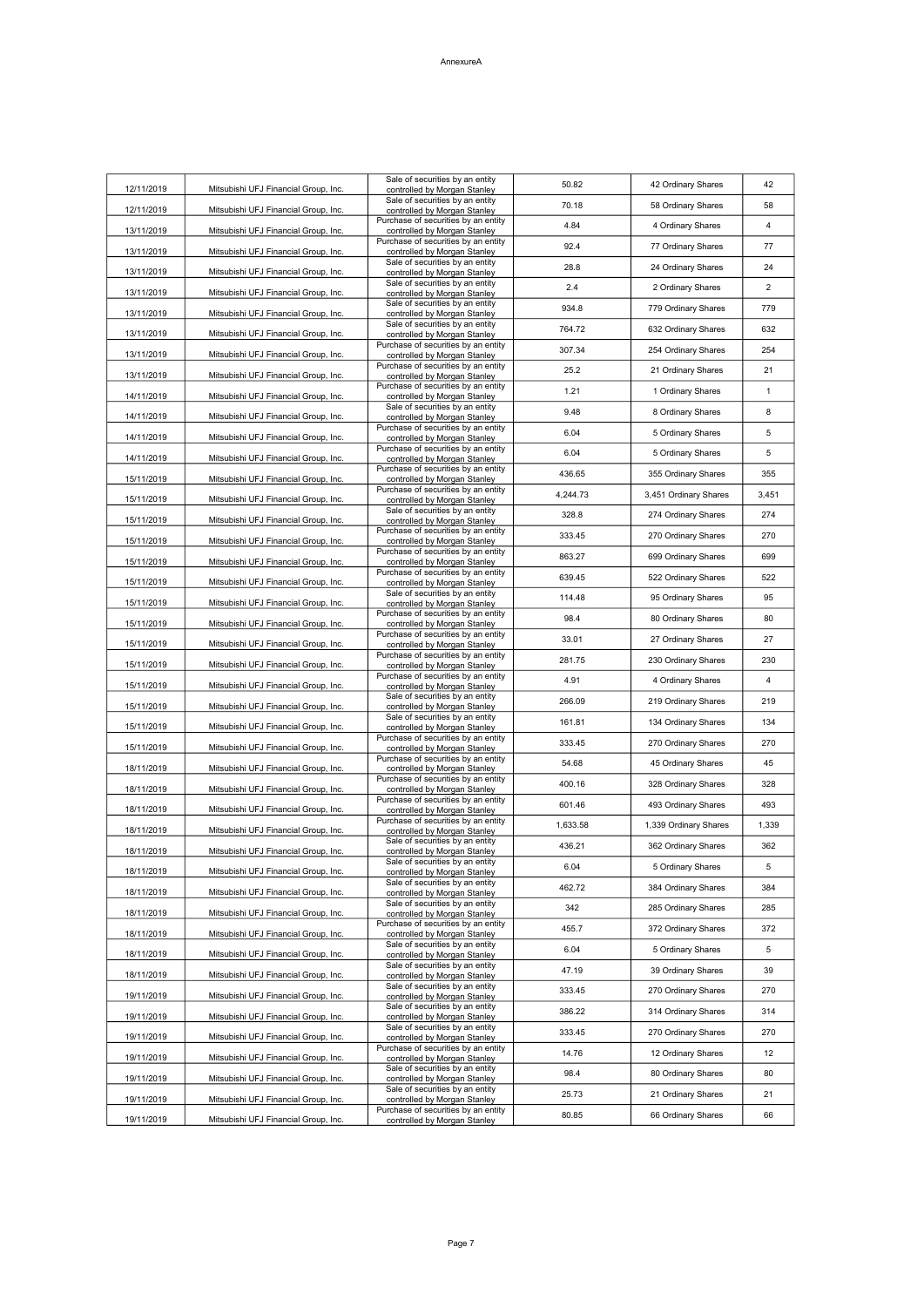| 12/11/2019 | Mitsubishi UFJ Financial Group, Inc. | Sale of securities by an entity<br>controlled by Morgan Stanley     | 50.82    | 42 Ordinary Shares    | 42             |
|------------|--------------------------------------|---------------------------------------------------------------------|----------|-----------------------|----------------|
| 12/11/2019 | Mitsubishi UFJ Financial Group, Inc. | Sale of securities by an entity<br>controlled by Morgan Stanley     | 70.18    | 58 Ordinary Shares    | 58             |
| 13/11/2019 | Mitsubishi UFJ Financial Group, Inc. | Purchase of securities by an entity<br>controlled by Morgan Stanley | 4.84     | 4 Ordinary Shares     | $\overline{4}$ |
| 13/11/2019 | Mitsubishi UFJ Financial Group, Inc. | Purchase of securities by an entity<br>controlled by Morgan Stanley | 92.4     | 77 Ordinary Shares    | 77             |
| 13/11/2019 | Mitsubishi UFJ Financial Group, Inc. | Sale of securities by an entity<br>controlled by Morgan Stanley     | 28.8     | 24 Ordinary Shares    | 24             |
| 13/11/2019 | Mitsubishi UFJ Financial Group, Inc. | Sale of securities by an entity<br>controlled by Morgan Stanley     | 2.4      | 2 Ordinary Shares     | $\overline{2}$ |
|            |                                      | Sale of securities by an entity                                     | 934.8    | 779 Ordinary Shares   | 779            |
| 13/11/2019 | Mitsubishi UFJ Financial Group, Inc. | controlled by Morgan Stanley<br>Sale of securities by an entity     | 764.72   | 632 Ordinary Shares   | 632            |
| 13/11/2019 | Mitsubishi UFJ Financial Group, Inc. | controlled by Morgan Stanley<br>Purchase of securities by an entity | 307.34   | 254 Ordinary Shares   | 254            |
| 13/11/2019 | Mitsubishi UFJ Financial Group, Inc. | controlled by Morgan Stanley<br>Purchase of securities by an entity | 25.2     | 21 Ordinary Shares    | 21             |
| 13/11/2019 | Mitsubishi UFJ Financial Group, Inc. | controlled by Morgan Stanley<br>Purchase of securities by an entity | 1.21     | 1 Ordinary Shares     | $\mathbf{1}$   |
| 14/11/2019 | Mitsubishi UFJ Financial Group, Inc. | controlled by Morgan Stanley<br>Sale of securities by an entity     | 9.48     | 8 Ordinary Shares     | 8              |
| 14/11/2019 | Mitsubishi UFJ Financial Group, Inc. | controlled by Morgan Stanley<br>Purchase of securities by an entity | 6.04     |                       | 5              |
| 14/11/2019 | Mitsubishi UFJ Financial Group, Inc. | controlled by Morgan Stanley<br>Purchase of securities by an entity | 6.04     | 5 Ordinary Shares     | 5              |
| 14/11/2019 | Mitsubishi UFJ Financial Group, Inc. | controlled by Morgan Stanley<br>Purchase of securities by an entity |          | 5 Ordinary Shares     |                |
| 15/11/2019 | Mitsubishi UFJ Financial Group, Inc. | controlled by Morgan Stanley<br>Purchase of securities by an entity | 436.65   | 355 Ordinary Shares   | 355            |
| 15/11/2019 | Mitsubishi UFJ Financial Group, Inc. | controlled by Morgan Stanley<br>Sale of securities by an entity     | 4,244.73 | 3,451 Ordinary Shares | 3,451          |
| 15/11/2019 | Mitsubishi UFJ Financial Group, Inc. | controlled by Morgan Stanley<br>Purchase of securities by an entity | 328.8    | 274 Ordinary Shares   | 274            |
| 15/11/2019 | Mitsubishi UFJ Financial Group, Inc. | controlled by Morgan Stanley                                        | 333.45   | 270 Ordinary Shares   | 270            |
| 15/11/2019 | Mitsubishi UFJ Financial Group, Inc. | Purchase of securities by an entity<br>controlled by Morgan Stanley | 863.27   | 699 Ordinary Shares   | 699            |
| 15/11/2019 | Mitsubishi UFJ Financial Group, Inc. | Purchase of securities by an entity<br>controlled by Morgan Stanley | 639.45   | 522 Ordinary Shares   | 522            |
| 15/11/2019 | Mitsubishi UFJ Financial Group, Inc. | Sale of securities by an entity<br>controlled by Morgan Stanley     | 114.48   | 95 Ordinary Shares    | 95             |
| 15/11/2019 | Mitsubishi UFJ Financial Group, Inc. | Purchase of securities by an entity<br>controlled by Morgan Stanley | 98.4     | 80 Ordinary Shares    | 80             |
| 15/11/2019 | Mitsubishi UFJ Financial Group, Inc. | Purchase of securities by an entity<br>controlled by Morgan Stanley | 33.01    | 27 Ordinary Shares    | 27             |
| 15/11/2019 | Mitsubishi UFJ Financial Group, Inc. | Purchase of securities by an entity<br>controlled by Morgan Stanley | 281.75   | 230 Ordinary Shares   | 230            |
| 15/11/2019 | Mitsubishi UFJ Financial Group, Inc. | Purchase of securities by an entity<br>controlled by Morgan Stanley | 4.91     | 4 Ordinary Shares     | 4              |
| 15/11/2019 | Mitsubishi UFJ Financial Group, Inc. | Sale of securities by an entity<br>controlled by Morgan Stanley     | 266.09   | 219 Ordinary Shares   | 219            |
| 15/11/2019 | Mitsubishi UFJ Financial Group, Inc. | Sale of securities by an entity<br>controlled by Morgan Stanley     | 161.81   | 134 Ordinary Shares   | 134            |
| 15/11/2019 | Mitsubishi UFJ Financial Group, Inc. | Purchase of securities by an entity<br>controlled by Morgan Stanley | 333.45   | 270 Ordinary Shares   | 270            |
| 18/11/2019 | Mitsubishi UFJ Financial Group, Inc. | Purchase of securities by an entity<br>controlled by Morgan Stanley | 54.68    | 45 Ordinary Shares    | 45             |
| 18/11/2019 | Mitsubishi UFJ Financial Group, Inc. | Purchase of securities by an entity<br>controlled by Morgan Stanley | 400.16   | 328 Ordinary Shares   | 328            |
| 18/11/2019 | Mitsubishi UFJ Financial Group, Inc. | Purchase of securities by an entity<br>controlled by Morgan Stanley | 601.46   | 493 Ordinary Shares   | 493            |
| 18/11/2019 | Mitsubishi UFJ Financial Group, Inc. | Purchase of securities by an entity<br>controlled by Morgan Stanley | 1,633.58 | 1,339 Ordinary Shares | 1,339          |
| 18/11/2019 | Mitsubishi UFJ Financial Group, Inc. | Sale of securities by an entity<br>controlled by Morgan Stanley     | 436.21   | 362 Ordinary Shares   | 362            |
| 18/11/2019 | Mitsubishi UFJ Financial Group, Inc. | Sale of securities by an entity<br>controlled by Morgan Stanley     | 6.04     | 5 Ordinary Shares     | 5              |
| 18/11/2019 | Mitsubishi UFJ Financial Group, Inc. | Sale of securities by an entity<br>controlled by Morgan Stanley     | 462.72   | 384 Ordinary Shares   | 384            |
| 18/11/2019 | Mitsubishi UFJ Financial Group, Inc. | Sale of securities by an entity                                     | 342      | 285 Ordinary Shares   | 285            |
|            |                                      | controlled by Morgan Stanley<br>Purchase of securities by an entity | 455.7    | 372 Ordinary Shares   | 372            |
| 18/11/2019 | Mitsubishi UFJ Financial Group, Inc. | controlled by Morgan Stanley<br>Sale of securities by an entity     | 6.04     | 5 Ordinary Shares     | 5              |
| 18/11/2019 | Mitsubishi UFJ Financial Group, Inc. | controlled by Morgan Stanley<br>Sale of securities by an entity     | 47.19    | 39 Ordinary Shares    | 39             |
| 18/11/2019 | Mitsubishi UFJ Financial Group, Inc. | controlled by Morgan Stanley<br>Sale of securities by an entity     | 333.45   | 270 Ordinary Shares   | 270            |
| 19/11/2019 | Mitsubishi UFJ Financial Group, Inc. | controlled by Morgan Stanley<br>Sale of securities by an entity     | 386.22   | 314 Ordinary Shares   | 314            |
| 19/11/2019 | Mitsubishi UFJ Financial Group, Inc. | controlled by Morgan Stanley<br>Sale of securities by an entity     | 333.45   | 270 Ordinary Shares   | 270            |
| 19/11/2019 | Mitsubishi UFJ Financial Group, Inc. | controlled by Morgan Stanley<br>Purchase of securities by an entity |          |                       |                |
| 19/11/2019 | Mitsubishi UFJ Financial Group, Inc. | controlled by Morgan Stanley<br>Sale of securities by an entity     | 14.76    | 12 Ordinary Shares    | 12             |
| 19/11/2019 | Mitsubishi UFJ Financial Group, Inc. | controlled by Morgan Stanley<br>Sale of securities by an entity     | 98.4     | 80 Ordinary Shares    | 80             |
| 19/11/2019 | Mitsubishi UFJ Financial Group, Inc. | controlled by Morgan Stanley<br>Purchase of securities by an entity | 25.73    | 21 Ordinary Shares    | 21             |
| 19/11/2019 | Mitsubishi UFJ Financial Group, Inc. | controlled by Morgan Stanley                                        | 80.85    | 66 Ordinary Shares    | 66             |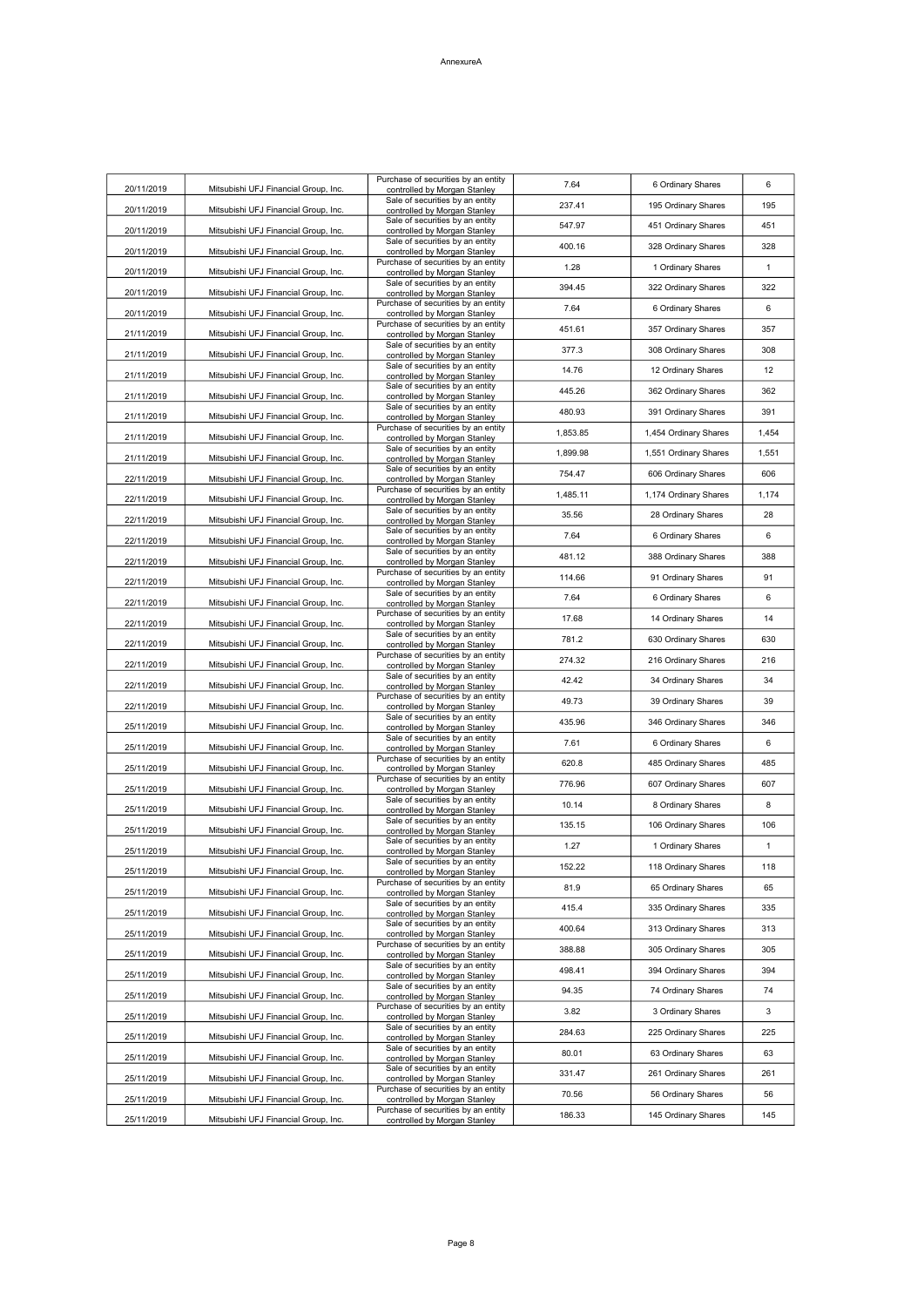| 20/11/2019 | Mitsubishi UFJ Financial Group, Inc. | Purchase of securities by an entity<br>controlled by Morgan Stanley | 7.64     | 6 Ordinary Shares     | 6            |
|------------|--------------------------------------|---------------------------------------------------------------------|----------|-----------------------|--------------|
| 20/11/2019 | Mitsubishi UFJ Financial Group, Inc. | Sale of securities by an entity<br>controlled by Morgan Stanley     | 237.41   | 195 Ordinary Shares   | 195          |
| 20/11/2019 | Mitsubishi UFJ Financial Group, Inc. | Sale of securities by an entity<br>controlled by Morgan Stanley     | 547.97   | 451 Ordinary Shares   | 451          |
| 20/11/2019 | Mitsubishi UFJ Financial Group, Inc. | Sale of securities by an entity<br>controlled by Morgan Stanley     | 400.16   | 328 Ordinary Shares   | 328          |
| 20/11/2019 | Mitsubishi UFJ Financial Group, Inc. | Purchase of securities by an entity<br>controlled by Morgan Stanley | 1.28     | 1 Ordinary Shares     | $\mathbf{1}$ |
| 20/11/2019 | Mitsubishi UFJ Financial Group, Inc. | Sale of securities by an entity<br>controlled by Morgan Stanley     | 394.45   | 322 Ordinary Shares   | 322          |
| 20/11/2019 | Mitsubishi UFJ Financial Group, Inc. | Purchase of securities by an entity<br>controlled by Morgan Stanley | 7.64     | 6 Ordinary Shares     | 6            |
| 21/11/2019 | Mitsubishi UFJ Financial Group, Inc. | Purchase of securities by an entity<br>controlled by Morgan Stanley | 451.61   | 357 Ordinary Shares   | 357          |
| 21/11/2019 | Mitsubishi UFJ Financial Group, Inc. | Sale of securities by an entity<br>controlled by Morgan Stanley     | 377.3    | 308 Ordinary Shares   | 308          |
| 21/11/2019 | Mitsubishi UFJ Financial Group, Inc. | Sale of securities by an entity<br>controlled by Morgan Stanley     | 14.76    | 12 Ordinary Shares    | 12           |
| 21/11/2019 | Mitsubishi UFJ Financial Group, Inc. | Sale of securities by an entity<br>controlled by Morgan Stanley     | 445.26   | 362 Ordinary Shares   | 362          |
|            |                                      | Sale of securities by an entity                                     | 480.93   | 391 Ordinary Shares   | 391          |
| 21/11/2019 | Mitsubishi UFJ Financial Group, Inc. | controlled by Morgan Stanley<br>Purchase of securities by an entity | 1,853.85 | 1,454 Ordinary Shares | 1,454        |
| 21/11/2019 | Mitsubishi UFJ Financial Group, Inc. | controlled by Morgan Stanley<br>Sale of securities by an entity     | 1,899.98 | 1,551 Ordinary Shares | 1,551        |
| 21/11/2019 | Mitsubishi UFJ Financial Group, Inc. | controlled by Morgan Stanley<br>Sale of securities by an entity     | 754.47   | 606 Ordinary Shares   | 606          |
| 22/11/2019 | Mitsubishi UFJ Financial Group, Inc. | controlled by Morgan Stanley<br>Purchase of securities by an entity | 1,485.11 | 1,174 Ordinary Shares | 1,174        |
| 22/11/2019 | Mitsubishi UFJ Financial Group, Inc. | controlled by Morgan Stanley<br>Sale of securities by an entity     | 35.56    | 28 Ordinary Shares    | 28           |
| 22/11/2019 | Mitsubishi UFJ Financial Group, Inc. | controlled by Morgan Stanley<br>Sale of securities by an entity     | 7.64     | 6 Ordinary Shares     | 6            |
| 22/11/2019 | Mitsubishi UFJ Financial Group, Inc. | controlled by Morgan Stanley<br>Sale of securities by an entity     | 481.12   | 388 Ordinary Shares   | 388          |
| 22/11/2019 | Mitsubishi UFJ Financial Group, Inc. | controlled by Morgan Stanley<br>Purchase of securities by an entity | 114.66   | 91 Ordinary Shares    | 91           |
| 22/11/2019 | Mitsubishi UFJ Financial Group, Inc. | controlled by Morgan Stanley<br>Sale of securities by an entity     |          |                       |              |
| 22/11/2019 | Mitsubishi UFJ Financial Group, Inc. | controlled by Morgan Stanley<br>Purchase of securities by an entity | 7.64     | 6 Ordinary Shares     | 6            |
| 22/11/2019 | Mitsubishi UFJ Financial Group, Inc. | controlled by Morgan Stanley<br>Sale of securities by an entity     | 17.68    | 14 Ordinary Shares    | 14           |
| 22/11/2019 | Mitsubishi UFJ Financial Group, Inc. | controlled by Morgan Stanley<br>Purchase of securities by an entity | 781.2    | 630 Ordinary Shares   | 630          |
| 22/11/2019 | Mitsubishi UFJ Financial Group, Inc. | controlled by Morgan Stanley<br>Sale of securities by an entity     | 274.32   | 216 Ordinary Shares   | 216          |
| 22/11/2019 | Mitsubishi UFJ Financial Group, Inc. | controlled by Morgan Stanley<br>Purchase of securities by an entity | 42.42    | 34 Ordinary Shares    | 34           |
| 22/11/2019 | Mitsubishi UFJ Financial Group, Inc. | controlled by Morgan Stanley<br>Sale of securities by an entity     | 49.73    | 39 Ordinary Shares    | 39           |
| 25/11/2019 | Mitsubishi UFJ Financial Group, Inc. | controlled by Morgan Stanley<br>Sale of securities by an entity     | 435.96   | 346 Ordinary Shares   | 346          |
| 25/11/2019 | Mitsubishi UFJ Financial Group, Inc. | controlled by Morgan Stanley<br>Purchase of securities by an entity | 7.61     | 6 Ordinary Shares     | 6            |
| 25/11/2019 | Mitsubishi UFJ Financial Group, Inc. | controlled by Morgan Stanley                                        | 620.8    | 485 Ordinary Shares   | 485          |
| 25/11/2019 | Mitsubishi UFJ Financial Group, Inc. | Purchase of securities by an entity<br>controlled by Morgan Stanley | 776.96   | 607 Ordinary Shares   | 607          |
| 25/11/2019 | Mitsubishi UFJ Financial Group, Inc. | Sale of securities by an entity<br>controlled by Morgan Stanley     | 10.14    | 8 Ordinary Shares     | 8            |
| 25/11/2019 | Mitsubishi UFJ Financial Group, Inc. | Sale of securities by an entity<br>controlled by Morgan Stanley     | 135.15   | 106 Ordinary Shares   | 106          |
| 25/11/2019 | Mitsubishi UFJ Financial Group, Inc. | Sale of securities by an entity<br>controlled by Morgan Stanley     | 1.27     | 1 Ordinary Shares     | $\mathbf{1}$ |
| 25/11/2019 | Mitsubishi UFJ Financial Group, Inc. | Sale of securities by an entity<br>controlled by Morgan Stanley     | 152.22   | 118 Ordinary Shares   | 118          |
| 25/11/2019 | Mitsubishi UFJ Financial Group, Inc. | Purchase of securities by an entity<br>controlled by Morgan Stanley | 81.9     | 65 Ordinary Shares    | 65           |
| 25/11/2019 | Mitsubishi UFJ Financial Group, Inc. | Sale of securities by an entity<br>controlled by Morgan Stanley     | 415.4    | 335 Ordinary Shares   | 335          |
| 25/11/2019 | Mitsubishi UFJ Financial Group, Inc. | Sale of securities by an entity<br>controlled by Morgan Stanley     | 400.64   | 313 Ordinary Shares   | 313          |
| 25/11/2019 | Mitsubishi UFJ Financial Group, Inc. | Purchase of securities by an entity<br>controlled by Morgan Stanley | 388.88   | 305 Ordinary Shares   | 305          |
| 25/11/2019 | Mitsubishi UFJ Financial Group, Inc. | Sale of securities by an entity<br>controlled by Morgan Stanley     | 498.41   | 394 Ordinary Shares   | 394          |
| 25/11/2019 | Mitsubishi UFJ Financial Group, Inc. | Sale of securities by an entity<br>controlled by Morgan Stanley     | 94.35    | 74 Ordinary Shares    | 74           |
| 25/11/2019 | Mitsubishi UFJ Financial Group, Inc. | Purchase of securities by an entity<br>controlled by Morgan Stanley | 3.82     | 3 Ordinary Shares     | 3            |
| 25/11/2019 | Mitsubishi UFJ Financial Group, Inc. | Sale of securities by an entity<br>controlled by Morgan Stanley     | 284.63   | 225 Ordinary Shares   | 225          |
| 25/11/2019 | Mitsubishi UFJ Financial Group, Inc. | Sale of securities by an entity<br>controlled by Morgan Stanley     | 80.01    | 63 Ordinary Shares    | 63           |
| 25/11/2019 | Mitsubishi UFJ Financial Group, Inc. | Sale of securities by an entity<br>controlled by Morgan Stanley     | 331.47   | 261 Ordinary Shares   | 261          |
| 25/11/2019 | Mitsubishi UFJ Financial Group, Inc. | Purchase of securities by an entity<br>controlled by Morgan Stanley | 70.56    | 56 Ordinary Shares    | 56           |
| 25/11/2019 | Mitsubishi UFJ Financial Group, Inc. | Purchase of securities by an entity<br>controlled by Morgan Stanley | 186.33   | 145 Ordinary Shares   | 145          |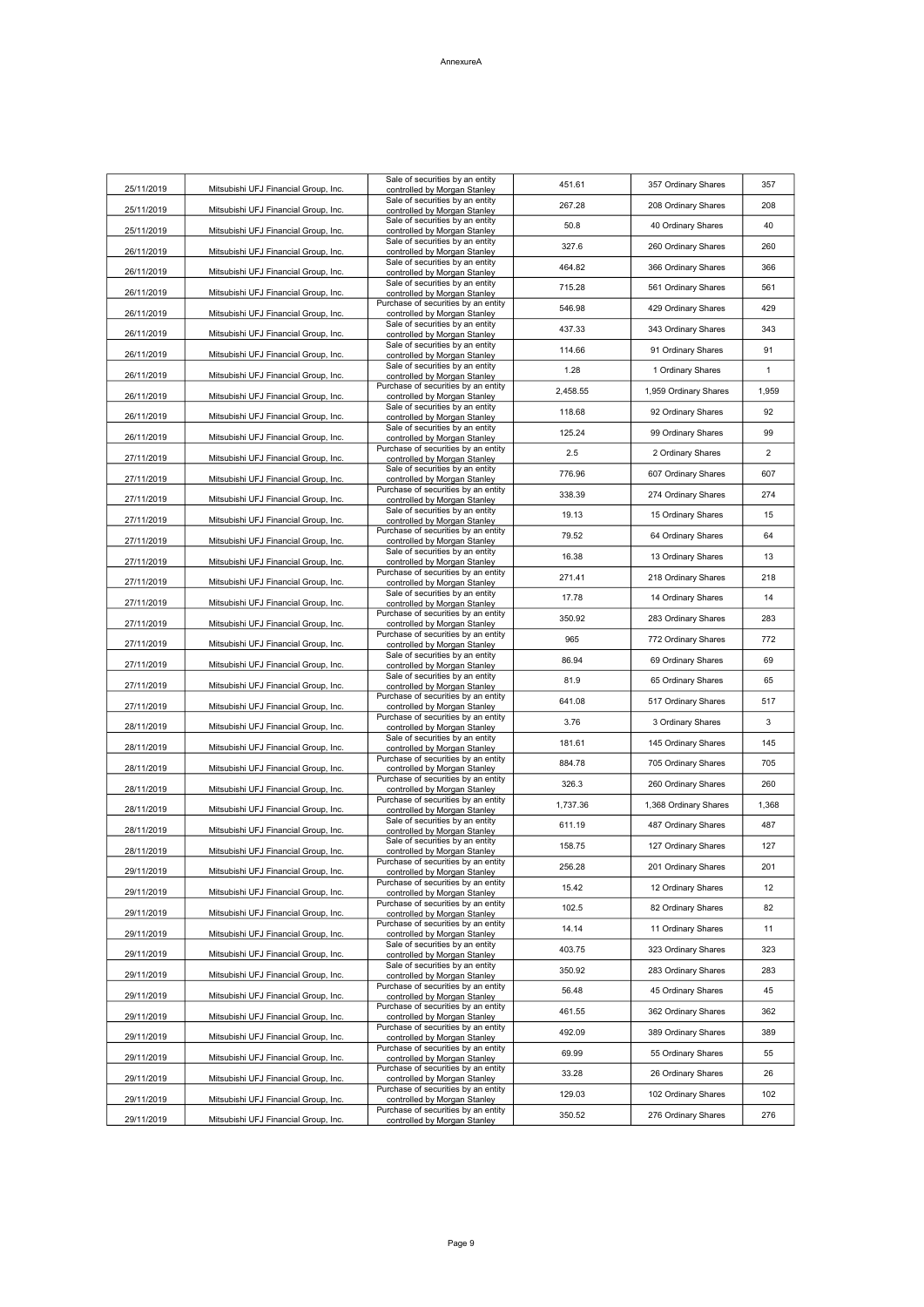| 25/11/2019 | Mitsubishi UFJ Financial Group, Inc. | Sale of securities by an entity<br>controlled by Morgan Stanley     | 451.61   | 357 Ordinary Shares   | 357   |
|------------|--------------------------------------|---------------------------------------------------------------------|----------|-----------------------|-------|
| 25/11/2019 | Mitsubishi UFJ Financial Group, Inc. | Sale of securities by an entity<br>controlled by Morgan Stanley     | 267.28   | 208 Ordinary Shares   | 208   |
| 25/11/2019 | Mitsubishi UFJ Financial Group, Inc. | Sale of securities by an entity<br>controlled by Morgan Stanley     | 50.8     | 40 Ordinary Shares    | 40    |
| 26/11/2019 | Mitsubishi UFJ Financial Group, Inc. | Sale of securities by an entity<br>controlled by Morgan Stanley     | 327.6    | 260 Ordinary Shares   | 260   |
|            |                                      | Sale of securities by an entity                                     | 464.82   | 366 Ordinary Shares   | 366   |
| 26/11/2019 | Mitsubishi UFJ Financial Group, Inc. | controlled by Morgan Stanley<br>Sale of securities by an entity     | 715.28   | 561 Ordinary Shares   | 561   |
| 26/11/2019 | Mitsubishi UFJ Financial Group, Inc. | controlled by Morgan Stanley<br>Purchase of securities by an entity | 546.98   | 429 Ordinary Shares   | 429   |
| 26/11/2019 | Mitsubishi UFJ Financial Group, Inc. | controlled by Morgan Stanley<br>Sale of securities by an entity     | 437.33   | 343 Ordinary Shares   | 343   |
| 26/11/2019 | Mitsubishi UFJ Financial Group, Inc. | controlled by Morgan Stanley<br>Sale of securities by an entity     | 114.66   | 91 Ordinary Shares    | 91    |
| 26/11/2019 | Mitsubishi UFJ Financial Group, Inc. | controlled by Morgan Stanley<br>Sale of securities by an entity     | 1.28     | 1 Ordinary Shares     | 1     |
| 26/11/2019 | Mitsubishi UFJ Financial Group, Inc. | controlled by Morgan Stanley<br>Purchase of securities by an entity |          |                       |       |
| 26/11/2019 | Mitsubishi UFJ Financial Group, Inc. | controlled by Morgan Stanley<br>Sale of securities by an entity     | 2,458.55 | 1,959 Ordinary Shares | 1,959 |
| 26/11/2019 | Mitsubishi UFJ Financial Group, Inc. | controlled by Morgan Stanley<br>Sale of securities by an entity     | 118.68   | 92 Ordinary Shares    | 92    |
| 26/11/2019 | Mitsubishi UFJ Financial Group, Inc. | controlled by Morgan Stanley<br>Purchase of securities by an entity | 125.24   | 99 Ordinary Shares    | 99    |
| 27/11/2019 | Mitsubishi UFJ Financial Group, Inc. | controlled by Morgan Stanley<br>Sale of securities by an entity     | 2.5      | 2 Ordinary Shares     | 2     |
| 27/11/2019 | Mitsubishi UFJ Financial Group, Inc. | controlled by Morgan Stanley<br>Purchase of securities by an entity | 776.96   | 607 Ordinary Shares   | 607   |
| 27/11/2019 | Mitsubishi UFJ Financial Group, Inc. | controlled by Morgan Stanley                                        | 338.39   | 274 Ordinary Shares   | 274   |
| 27/11/2019 | Mitsubishi UFJ Financial Group, Inc. | Sale of securities by an entity<br>controlled by Morgan Stanley     | 19.13    | 15 Ordinary Shares    | 15    |
| 27/11/2019 | Mitsubishi UFJ Financial Group, Inc. | Purchase of securities by an entity<br>controlled by Morgan Stanley | 79.52    | 64 Ordinary Shares    | 64    |
| 27/11/2019 | Mitsubishi UFJ Financial Group, Inc. | Sale of securities by an entity<br>controlled by Morgan Stanley     | 16.38    | 13 Ordinary Shares    | 13    |
| 27/11/2019 | Mitsubishi UFJ Financial Group, Inc. | Purchase of securities by an entity<br>controlled by Morgan Stanley | 271.41   | 218 Ordinary Shares   | 218   |
| 27/11/2019 | Mitsubishi UFJ Financial Group, Inc. | Sale of securities by an entity<br>controlled by Morgan Stanley     | 17.78    | 14 Ordinary Shares    | 14    |
| 27/11/2019 | Mitsubishi UFJ Financial Group, Inc. | Purchase of securities by an entity<br>controlled by Morgan Stanley | 350.92   | 283 Ordinary Shares   | 283   |
| 27/11/2019 | Mitsubishi UFJ Financial Group, Inc. | Purchase of securities by an entity<br>controlled by Morgan Stanley | 965      | 772 Ordinary Shares   | 772   |
| 27/11/2019 | Mitsubishi UFJ Financial Group, Inc. | Sale of securities by an entity<br>controlled by Morgan Stanley     | 86.94    | 69 Ordinary Shares    | 69    |
| 27/11/2019 | Mitsubishi UFJ Financial Group, Inc. | Sale of securities by an entity<br>controlled by Morgan Stanley     | 81.9     | 65 Ordinary Shares    | 65    |
| 27/11/2019 | Mitsubishi UFJ Financial Group, Inc. | Purchase of securities by an entity<br>controlled by Morgan Stanley | 641.08   | 517 Ordinary Shares   | 517   |
| 28/11/2019 | Mitsubishi UFJ Financial Group, Inc. | Purchase of securities by an entity<br>controlled by Morgan Stanley | 3.76     | 3 Ordinary Shares     | 3     |
| 28/11/2019 | Mitsubishi UFJ Financial Group, Inc. | Sale of securities by an entity<br>controlled by Morgan Stanley     | 181.61   | 145 Ordinary Shares   | 145   |
| 28/11/2019 | Mitsubishi UFJ Financial Group, Inc. | Purchase of securities by an entity<br>controlled by Morgan Stanley | 884.78   | 705 Ordinary Shares   | 705   |
| 28/11/2019 | Mitsubishi UFJ Financial Group, Inc. | Purchase of securities by an entity<br>controlled by Morgan Stanley | 326.3    | 260 Ordinary Shares   | 260   |
| 28/11/2019 | Mitsubishi UFJ Financial Group, Inc. | Purchase of securities by an entity<br>controlled by Morgan Stanley | 1,737.36 | 1,368 Ordinary Shares | 1,368 |
| 28/11/2019 | Mitsubishi UFJ Financial Group, Inc. | Sale of securities by an entity<br>controlled by Morgan Stanley     | 611.19   | 487 Ordinary Shares   | 487   |
| 28/11/2019 | Mitsubishi UFJ Financial Group, Inc. | Sale of securities by an entity<br>controlled by Morgan Stanley     | 158.75   | 127 Ordinary Shares   | 127   |
| 29/11/2019 | Mitsubishi UFJ Financial Group, Inc. | Purchase of securities by an entity<br>controlled by Morgan Stanley | 256.28   | 201 Ordinary Shares   | 201   |
| 29/11/2019 | Mitsubishi UFJ Financial Group, Inc. | Purchase of securities by an entity<br>controlled by Morgan Stanley | 15.42    | 12 Ordinary Shares    | 12    |
| 29/11/2019 |                                      | Purchase of securities by an entity                                 | 102.5    | 82 Ordinary Shares    | 82    |
|            | Mitsubishi UFJ Financial Group, Inc. | controlled by Morgan Stanley<br>Purchase of securities by an entity | 14.14    | 11 Ordinary Shares    | 11    |
| 29/11/2019 | Mitsubishi UFJ Financial Group, Inc. | controlled by Morgan Stanley<br>Sale of securities by an entity     | 403.75   | 323 Ordinary Shares   | 323   |
| 29/11/2019 | Mitsubishi UFJ Financial Group, Inc. | controlled by Morgan Stanley<br>Sale of securities by an entity     | 350.92   | 283 Ordinary Shares   | 283   |
| 29/11/2019 | Mitsubishi UFJ Financial Group, Inc. | controlled by Morgan Stanley<br>Purchase of securities by an entity | 56.48    | 45 Ordinary Shares    | 45    |
| 29/11/2019 | Mitsubishi UFJ Financial Group, Inc. | controlled by Morgan Stanley<br>Purchase of securities by an entity | 461.55   | 362 Ordinary Shares   | 362   |
| 29/11/2019 | Mitsubishi UFJ Financial Group, Inc. | controlled by Morgan Stanley<br>Purchase of securities by an entity | 492.09   | 389 Ordinary Shares   | 389   |
| 29/11/2019 | Mitsubishi UFJ Financial Group, Inc. | controlled by Morgan Stanley<br>Purchase of securities by an entity |          |                       |       |
| 29/11/2019 | Mitsubishi UFJ Financial Group, Inc. | controlled by Morgan Stanley<br>Purchase of securities by an entity | 69.99    | 55 Ordinary Shares    | 55    |
| 29/11/2019 | Mitsubishi UFJ Financial Group, Inc. | controlled by Morgan Stanley<br>Purchase of securities by an entity | 33.28    | 26 Ordinary Shares    | 26    |
| 29/11/2019 | Mitsubishi UFJ Financial Group, Inc. | controlled by Morgan Stanley                                        | 129.03   | 102 Ordinary Shares   | 102   |
|            |                                      | Purchase of securities by an entity                                 | 350.52   | 276 Ordinary Shares   | 276   |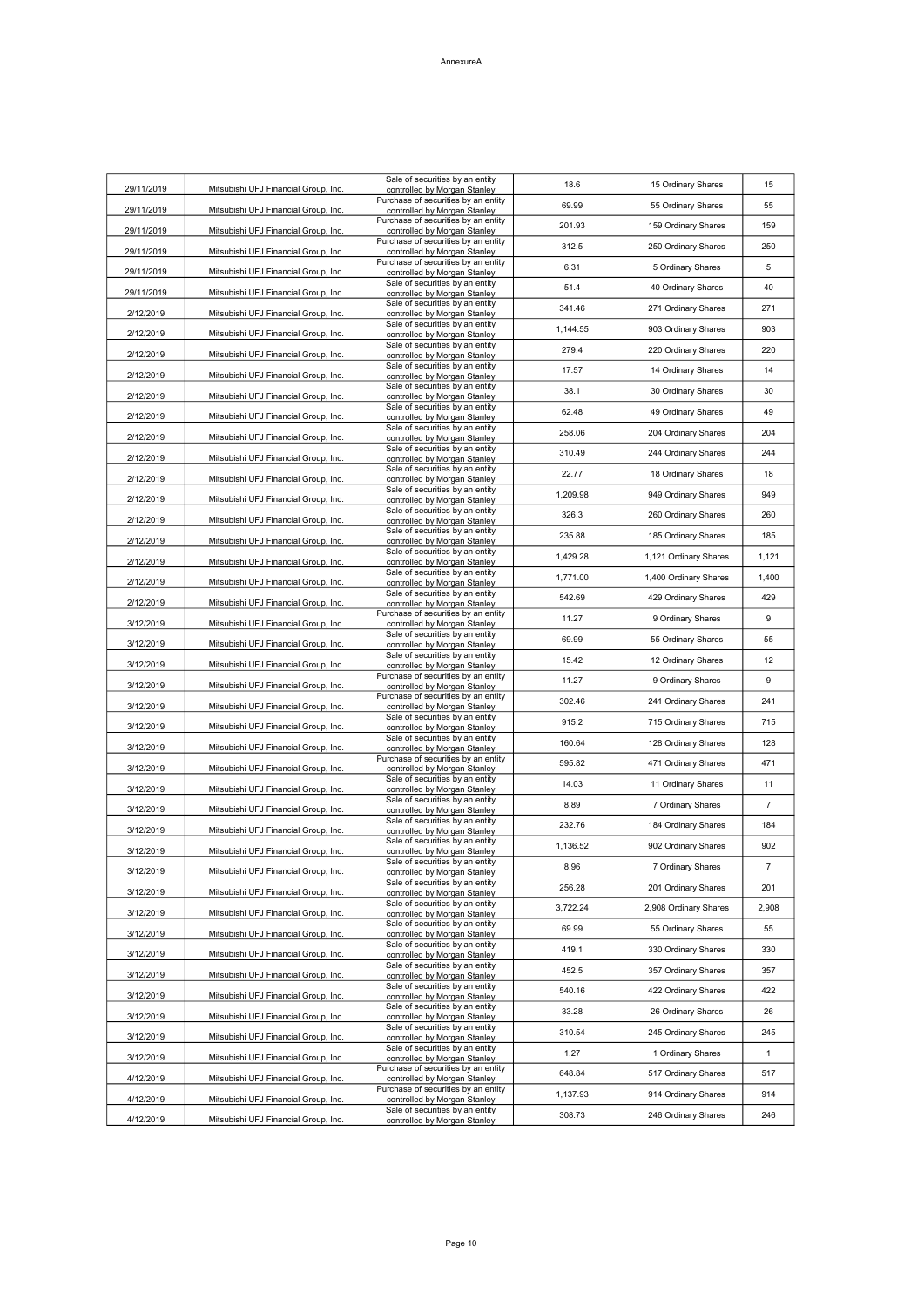| 29/11/2019 | Mitsubishi UFJ Financial Group, Inc. | Sale of securities by an entity<br>controlled by Morgan Stanley     | 18.6     | 15 Ordinary Shares    | 15           |
|------------|--------------------------------------|---------------------------------------------------------------------|----------|-----------------------|--------------|
| 29/11/2019 | Mitsubishi UFJ Financial Group, Inc. | Purchase of securities by an entity<br>controlled by Morgan Stanley | 69.99    | 55 Ordinary Shares    | 55           |
| 29/11/2019 | Mitsubishi UFJ Financial Group, Inc. | Purchase of securities by an entity<br>controlled by Morgan Stanley | 201.93   | 159 Ordinary Shares   | 159          |
| 29/11/2019 | Mitsubishi UFJ Financial Group, Inc. | Purchase of securities by an entity<br>controlled by Morgan Stanley | 312.5    | 250 Ordinary Shares   | 250          |
| 29/11/2019 | Mitsubishi UFJ Financial Group, Inc. | Purchase of securities by an entity<br>controlled by Morgan Stanley | 6.31     | 5 Ordinary Shares     | 5            |
|            |                                      | Sale of securities by an entity                                     | 51.4     | 40 Ordinary Shares    | 40           |
| 29/11/2019 | Mitsubishi UFJ Financial Group, Inc. | controlled by Morgan Stanley<br>Sale of securities by an entity     | 341.46   | 271 Ordinary Shares   | 271          |
| 2/12/2019  | Mitsubishi UFJ Financial Group, Inc. | controlled by Morgan Stanley<br>Sale of securities by an entity     | 1,144.55 | 903 Ordinary Shares   | 903          |
| 2/12/2019  | Mitsubishi UFJ Financial Group, Inc. | controlled by Morgan Stanley<br>Sale of securities by an entity     | 279.4    | 220 Ordinary Shares   | 220          |
| 2/12/2019  | Mitsubishi UFJ Financial Group, Inc. | controlled by Morgan Stanley<br>Sale of securities by an entity     | 17.57    | 14 Ordinary Shares    | 14           |
| 2/12/2019  | Mitsubishi UFJ Financial Group, Inc. | controlled by Morgan Stanley<br>Sale of securities by an entity     | 38.1     | 30 Ordinary Shares    | 30           |
| 2/12/2019  | Mitsubishi UFJ Financial Group, Inc. | controlled by Morgan Stanley<br>Sale of securities by an entity     | 62.48    |                       | 49           |
| 2/12/2019  | Mitsubishi UFJ Financial Group, Inc. | controlled by Morgan Stanley<br>Sale of securities by an entity     |          | 49 Ordinary Shares    |              |
| 2/12/2019  | Mitsubishi UFJ Financial Group, Inc. | controlled by Morgan Stanley<br>Sale of securities by an entity     | 258.06   | 204 Ordinary Shares   | 204          |
| 2/12/2019  | Mitsubishi UFJ Financial Group, Inc. | controlled by Morgan Stanley<br>Sale of securities by an entity     | 310.49   | 244 Ordinary Shares   | 244          |
| 2/12/2019  | Mitsubishi UFJ Financial Group, Inc. | controlled by Morgan Stanley<br>Sale of securities by an entity     | 22.77    | 18 Ordinary Shares    | 18           |
| 2/12/2019  | Mitsubishi UFJ Financial Group, Inc. | controlled by Morgan Stanley                                        | 1,209.98 | 949 Ordinary Shares   | 949          |
| 2/12/2019  | Mitsubishi UFJ Financial Group, Inc. | Sale of securities by an entity<br>controlled by Morgan Stanley     | 326.3    | 260 Ordinary Shares   | 260          |
| 2/12/2019  | Mitsubishi UFJ Financial Group, Inc. | Sale of securities by an entity<br>controlled by Morgan Stanley     | 235.88   | 185 Ordinary Shares   | 185          |
| 2/12/2019  | Mitsubishi UFJ Financial Group, Inc. | Sale of securities by an entity<br>controlled by Morgan Stanley     | 1,429.28 | 1,121 Ordinary Shares | 1,121        |
| 2/12/2019  | Mitsubishi UFJ Financial Group, Inc. | Sale of securities by an entity<br>controlled by Morgan Stanley     | 1,771.00 | 1,400 Ordinary Shares | 1,400        |
| 2/12/2019  | Mitsubishi UFJ Financial Group, Inc. | Sale of securities by an entity<br>controlled by Morgan Stanley     | 542.69   | 429 Ordinary Shares   | 429          |
| 3/12/2019  | Mitsubishi UFJ Financial Group, Inc. | Purchase of securities by an entity<br>controlled by Morgan Stanley | 11.27    | 9 Ordinary Shares     | 9            |
| 3/12/2019  | Mitsubishi UFJ Financial Group, Inc. | Sale of securities by an entity<br>controlled by Morgan Stanley     | 69.99    | 55 Ordinary Shares    | 55           |
| 3/12/2019  | Mitsubishi UFJ Financial Group, Inc. | Sale of securities by an entity<br>controlled by Morgan Stanley     | 15.42    | 12 Ordinary Shares    | 12           |
| 3/12/2019  | Mitsubishi UFJ Financial Group, Inc. | Purchase of securities by an entity<br>controlled by Morgan Stanley | 11.27    | 9 Ordinary Shares     | 9            |
| 3/12/2019  | Mitsubishi UFJ Financial Group, Inc. | Purchase of securities by an entity<br>controlled by Morgan Stanley | 302.46   | 241 Ordinary Shares   | 241          |
| 3/12/2019  | Mitsubishi UFJ Financial Group, Inc. | Sale of securities by an entity<br>controlled by Morgan Stanley     | 915.2    | 715 Ordinary Shares   | 715          |
| 3/12/2019  | Mitsubishi UFJ Financial Group, Inc. | Sale of securities by an entity<br>controlled by Morgan Stanley     | 160.64   | 128 Ordinary Shares   | 128          |
| 3/12/2019  | Mitsubishi UFJ Financial Group, Inc. | Purchase of securities by an entity<br>controlled by Morgan Stanley | 595.82   | 471 Ordinary Shares   | 471          |
| 3/12/2019  | Mitsubishi UFJ Financial Group, Inc. | Sale of securities by an entity<br>controlled by Morgan Stanley     | 14.03    | 11 Ordinary Shares    | 11           |
| 3/12/2019  | Mitsubishi UFJ Financial Group, Inc. | Sale of securities by an entity<br>controlled by Morgan Stanley     | 8.89     | 7 Ordinary Shares     | 7            |
| 3/12/2019  | Mitsubishi UFJ Financial Group, Inc. | Sale of securities by an entity                                     | 232.76   | 184 Ordinary Shares   | 184          |
|            |                                      | controlled by Morgan Stanley<br>Sale of securities by an entity     | 1,136.52 | 902 Ordinary Shares   | 902          |
| 3/12/2019  | Mitsubishi UFJ Financial Group, Inc. | controlled by Morgan Stanley<br>Sale of securities by an entity     | 8.96     | 7 Ordinary Shares     | 7            |
| 3/12/2019  | Mitsubishi UFJ Financial Group, Inc. | controlled by Morgan Stanley<br>Sale of securities by an entity     | 256.28   | 201 Ordinary Shares   | 201          |
| 3/12/2019  | Mitsubishi UFJ Financial Group, Inc. | controlled by Morgan Stanley<br>Sale of securities by an entity     | 3,722.24 | 2,908 Ordinary Shares | 2,908        |
| 3/12/2019  | Mitsubishi UFJ Financial Group, Inc. | controlled by Morgan Stanley<br>Sale of securities by an entity     | 69.99    | 55 Ordinary Shares    | 55           |
| 3/12/2019  | Mitsubishi UFJ Financial Group, Inc. | controlled by Morgan Stanley<br>Sale of securities by an entity     | 419.1    | 330 Ordinary Shares   | 330          |
| 3/12/2019  | Mitsubishi UFJ Financial Group, Inc. | controlled by Morgan Stanley<br>Sale of securities by an entity     |          |                       |              |
| 3/12/2019  | Mitsubishi UFJ Financial Group, Inc. | controlled by Morgan Stanley<br>Sale of securities by an entity     | 452.5    | 357 Ordinary Shares   | 357          |
| 3/12/2019  | Mitsubishi UFJ Financial Group, Inc. | controlled by Morgan Stanley<br>Sale of securities by an entity     | 540.16   | 422 Ordinary Shares   | 422          |
| 3/12/2019  | Mitsubishi UFJ Financial Group, Inc. | controlled by Morgan Stanley<br>Sale of securities by an entity     | 33.28    | 26 Ordinary Shares    | 26           |
| 3/12/2019  | Mitsubishi UFJ Financial Group, Inc. | controlled by Morgan Stanley<br>Sale of securities by an entity     | 310.54   | 245 Ordinary Shares   | 245          |
| 3/12/2019  | Mitsubishi UFJ Financial Group, Inc. | controlled by Morgan Stanley<br>Purchase of securities by an entity | 1.27     | 1 Ordinary Shares     | $\mathbf{1}$ |
| 4/12/2019  | Mitsubishi UFJ Financial Group, Inc. | controlled by Morgan Stanley<br>Purchase of securities by an entity | 648.84   | 517 Ordinary Shares   | 517          |
| 4/12/2019  | Mitsubishi UFJ Financial Group, Inc. | controlled by Morgan Stanley                                        | 1,137.93 | 914 Ordinary Shares   | 914          |
| 4/12/2019  | Mitsubishi UFJ Financial Group, Inc. | Sale of securities by an entity<br>controlled by Morgan Stanley     | 308.73   | 246 Ordinary Shares   | 246          |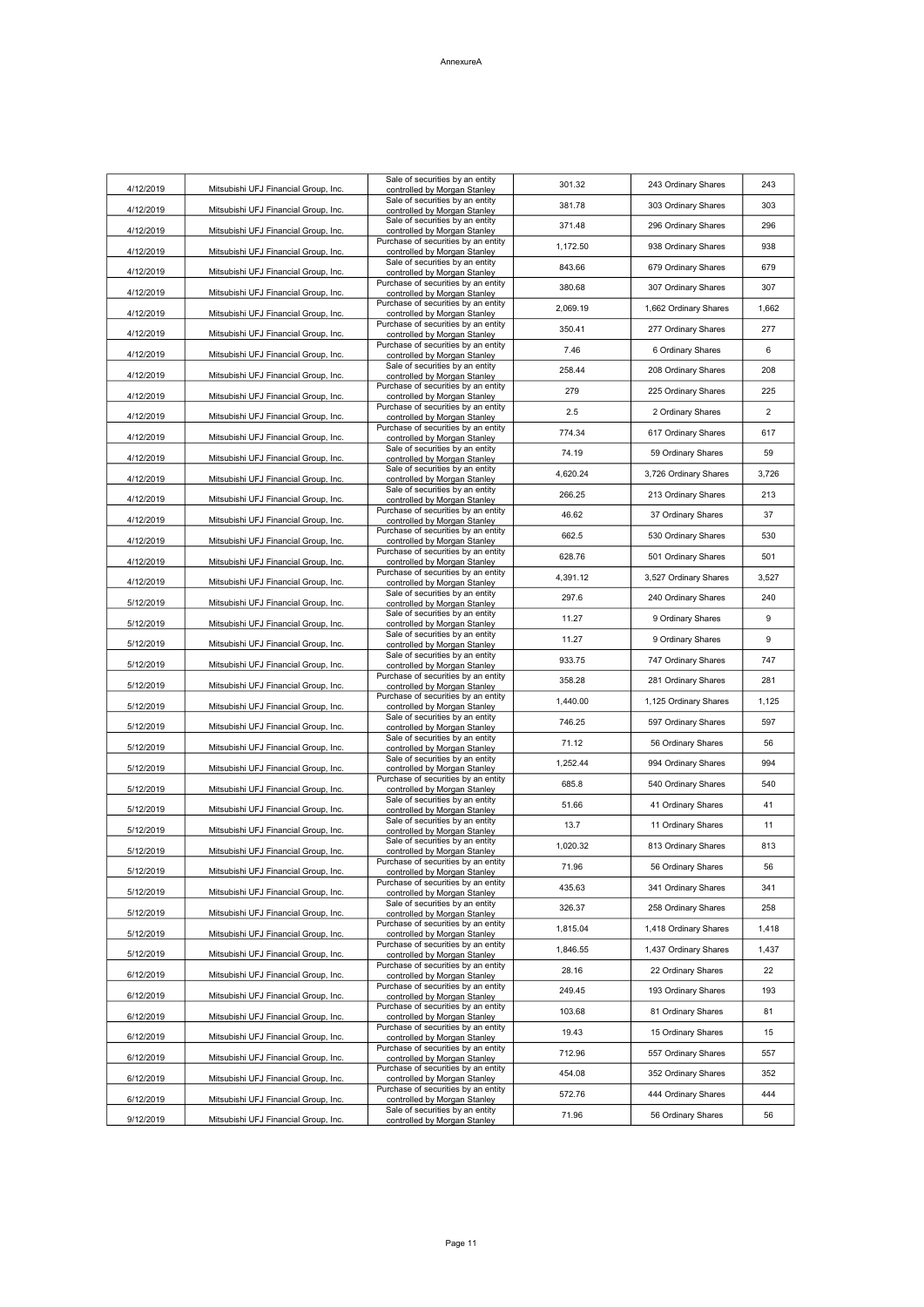| 4/12/2019 | Mitsubishi UFJ Financial Group, Inc. | Sale of securities by an entity<br>controlled by Morgan Stanley     | 301.32   | 243 Ordinary Shares   | 243            |
|-----------|--------------------------------------|---------------------------------------------------------------------|----------|-----------------------|----------------|
| 4/12/2019 | Mitsubishi UFJ Financial Group, Inc. | Sale of securities by an entity                                     | 381.78   | 303 Ordinary Shares   | 303            |
|           |                                      | controlled by Morgan Stanley<br>Sale of securities by an entity     | 371.48   | 296 Ordinary Shares   | 296            |
| 4/12/2019 | Mitsubishi UFJ Financial Group, Inc. | controlled by Morgan Stanley<br>Purchase of securities by an entity | 1,172.50 | 938 Ordinary Shares   | 938            |
| 4/12/2019 | Mitsubishi UFJ Financial Group, Inc. | controlled by Morgan Stanley<br>Sale of securities by an entity     | 843.66   |                       | 679            |
| 4/12/2019 | Mitsubishi UFJ Financial Group, Inc. | controlled by Morgan Stanley<br>Purchase of securities by an entity |          | 679 Ordinary Shares   |                |
| 4/12/2019 | Mitsubishi UFJ Financial Group, Inc. | controlled by Morgan Stanley<br>Purchase of securities by an entity | 380.68   | 307 Ordinary Shares   | 307            |
| 4/12/2019 | Mitsubishi UFJ Financial Group, Inc. | controlled by Morgan Stanley                                        | 2,069.19 | 1,662 Ordinary Shares | 1,662          |
| 4/12/2019 | Mitsubishi UFJ Financial Group, Inc. | Purchase of securities by an entity<br>controlled by Morgan Stanley | 350.41   | 277 Ordinary Shares   | 277            |
| 4/12/2019 | Mitsubishi UFJ Financial Group, Inc. | Purchase of securities by an entity<br>controlled by Morgan Stanley | 7.46     | 6 Ordinary Shares     | 6              |
| 4/12/2019 | Mitsubishi UFJ Financial Group, Inc. | Sale of securities by an entity<br>controlled by Morgan Stanley     | 258.44   | 208 Ordinary Shares   | 208            |
| 4/12/2019 | Mitsubishi UFJ Financial Group, Inc. | Purchase of securities by an entity<br>controlled by Morgan Stanley | 279      | 225 Ordinary Shares   | 225            |
| 4/12/2019 | Mitsubishi UFJ Financial Group, Inc. | Purchase of securities by an entity<br>controlled by Morgan Stanley | 2.5      | 2 Ordinary Shares     | $\overline{2}$ |
|           |                                      | Purchase of securities by an entity                                 | 774.34   | 617 Ordinary Shares   | 617            |
| 4/12/2019 | Mitsubishi UFJ Financial Group, Inc. | controlled by Morgan Stanley<br>Sale of securities by an entity     | 74.19    | 59 Ordinary Shares    | 59             |
| 4/12/2019 | Mitsubishi UFJ Financial Group, Inc. | controlled by Morgan Stanley<br>Sale of securities by an entity     |          |                       |                |
| 4/12/2019 | Mitsubishi UFJ Financial Group, Inc. | controlled by Morgan Stanley<br>Sale of securities by an entity     | 4,620.24 | 3,726 Ordinary Shares | 3,726          |
| 4/12/2019 | Mitsubishi UFJ Financial Group, Inc. | controlled by Morgan Stanley<br>Purchase of securities by an entity | 266.25   | 213 Ordinary Shares   | 213            |
| 4/12/2019 | Mitsubishi UFJ Financial Group, Inc. | controlled by Morgan Stanley                                        | 46.62    | 37 Ordinary Shares    | 37             |
| 4/12/2019 | Mitsubishi UFJ Financial Group, Inc. | Purchase of securities by an entity<br>controlled by Morgan Stanley | 662.5    | 530 Ordinary Shares   | 530            |
| 4/12/2019 | Mitsubishi UFJ Financial Group, Inc. | Purchase of securities by an entity<br>controlled by Morgan Stanley | 628.76   | 501 Ordinary Shares   | 501            |
| 4/12/2019 | Mitsubishi UFJ Financial Group, Inc. | Purchase of securities by an entity<br>controlled by Morgan Stanley | 4,391.12 | 3,527 Ordinary Shares | 3,527          |
| 5/12/2019 | Mitsubishi UFJ Financial Group, Inc. | Sale of securities by an entity<br>controlled by Morgan Stanley     | 297.6    | 240 Ordinary Shares   | 240            |
|           |                                      | Sale of securities by an entity                                     | 11.27    | 9 Ordinary Shares     | 9              |
| 5/12/2019 | Mitsubishi UFJ Financial Group, Inc. | controlled by Morgan Stanley<br>Sale of securities by an entity     | 11.27    | 9 Ordinary Shares     | 9              |
| 5/12/2019 | Mitsubishi UFJ Financial Group, Inc. | controlled by Morgan Stanley<br>Sale of securities by an entity     | 933.75   | 747 Ordinary Shares   | 747            |
| 5/12/2019 | Mitsubishi UFJ Financial Group, Inc. | controlled by Morgan Stanley<br>Purchase of securities by an entity |          |                       |                |
| 5/12/2019 | Mitsubishi UFJ Financial Group, Inc. | controlled by Morgan Stanley<br>Purchase of securities by an entity | 358.28   | 281 Ordinary Shares   | 281            |
| 5/12/2019 | Mitsubishi UFJ Financial Group, Inc. | controlled by Morgan Stanley<br>Sale of securities by an entity     | 1,440.00 | 1,125 Ordinary Shares | 1,125          |
| 5/12/2019 | Mitsubishi UFJ Financial Group, Inc. | controlled by Morgan Stanley                                        | 746.25   | 597 Ordinary Shares   | 597            |
| 5/12/2019 | Mitsubishi UFJ Financial Group, Inc. | Sale of securities by an entity<br>controlled by Morgan Stanley     | 71.12    | 56 Ordinary Shares    | 56             |
| 5/12/2019 | Mitsubishi UFJ Financial Group, Inc. | Sale of securities by an entity<br>controlled by Morgan Stanley     | 1,252.44 | 994 Ordinary Shares   | 994            |
| 5/12/2019 | Mitsubishi UFJ Financial Group, Inc. | Purchase of securities by an entity<br>controlled by Morgan Stanley | 685.8    | 540 Ordinary Shares   | 540            |
| 5/12/2019 | Mitsubishi UFJ Financial Group, Inc. | Sale of securities by an entity<br>controlled by Morgan Stanley     | 51.66    | 41 Ordinary Shares    | 41             |
| 5/12/2019 | Mitsubishi UFJ Financial Group, Inc. | Sale of securities by an entity<br>controlled by Morgan Stanley     | 13.7     | 11 Ordinary Shares    | 11             |
| 5/12/2019 | Mitsubishi UFJ Financial Group, Inc. | Sale of securities by an entity                                     | 1,020.32 | 813 Ordinary Shares   | 813            |
|           |                                      | controlled by Morgan Stanley<br>Purchase of securities by an entity | 71.96    | 56 Ordinary Shares    | 56             |
| 5/12/2019 | Mitsubishi UFJ Financial Group, Inc. | controlled by Morgan Stanley<br>Purchase of securities by an entity | 435.63   | 341 Ordinary Shares   | 341            |
| 5/12/2019 | Mitsubishi UFJ Financial Group, Inc. | controlled by Morgan Stanley<br>Sale of securities by an entity     | 326.37   | 258 Ordinary Shares   | 258            |
| 5/12/2019 | Mitsubishi UFJ Financial Group, Inc. | controlled by Morgan Stanley<br>Purchase of securities by an entity |          |                       |                |
| 5/12/2019 | Mitsubishi UFJ Financial Group, Inc. | controlled by Morgan Stanley<br>Purchase of securities by an entity | 1,815.04 | 1,418 Ordinary Shares | 1,418          |
| 5/12/2019 | Mitsubishi UFJ Financial Group, Inc. | controlled by Morgan Stanley<br>Purchase of securities by an entity | 1,846.55 | 1,437 Ordinary Shares | 1,437          |
| 6/12/2019 | Mitsubishi UFJ Financial Group, Inc. | controlled by Morgan Stanley                                        | 28.16    | 22 Ordinary Shares    | 22             |
| 6/12/2019 | Mitsubishi UFJ Financial Group, Inc. | Purchase of securities by an entity<br>controlled by Morgan Stanley | 249.45   | 193 Ordinary Shares   | 193            |
| 6/12/2019 | Mitsubishi UFJ Financial Group, Inc. | Purchase of securities by an entity<br>controlled by Morgan Stanley | 103.68   | 81 Ordinary Shares    | 81             |
| 6/12/2019 | Mitsubishi UFJ Financial Group, Inc. | Purchase of securities by an entity<br>controlled by Morgan Stanley | 19.43    | 15 Ordinary Shares    | 15             |
| 6/12/2019 | Mitsubishi UFJ Financial Group, Inc. | Purchase of securities by an entity<br>controlled by Morgan Stanley | 712.96   | 557 Ordinary Shares   | 557            |
| 6/12/2019 | Mitsubishi UFJ Financial Group, Inc. | Purchase of securities by an entity                                 | 454.08   | 352 Ordinary Shares   | 352            |
|           |                                      | controlled by Morgan Stanley<br>Purchase of securities by an entity | 572.76   | 444 Ordinary Shares   | 444            |
| 6/12/2019 | Mitsubishi UFJ Financial Group, Inc. | controlled by Morgan Stanley<br>Sale of securities by an entity     | 71.96    | 56 Ordinary Shares    | 56             |
| 9/12/2019 | Mitsubishi UFJ Financial Group, Inc. | controlled by Morgan Stanley                                        |          |                       |                |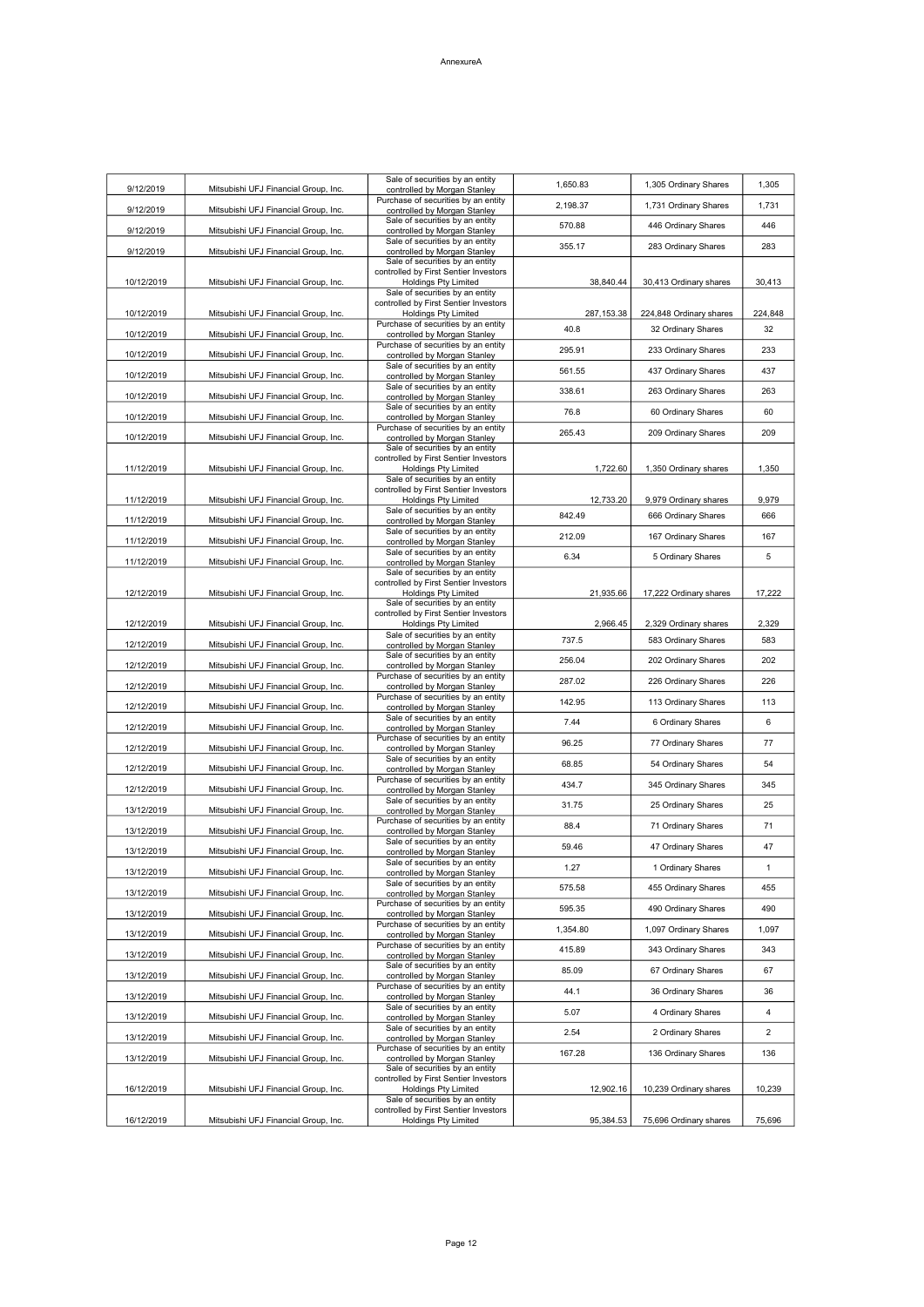| 9/12/2019  | Mitsubishi UFJ Financial Group, Inc. | Sale of securities by an entity<br>controlled by Morgan Stanley                                                                            | 1,650.83            | 1,305 Ordinary Shares                        | 1,305          |
|------------|--------------------------------------|--------------------------------------------------------------------------------------------------------------------------------------------|---------------------|----------------------------------------------|----------------|
| 9/12/2019  | Mitsubishi UFJ Financial Group, Inc. | Purchase of securities by an entity<br>controlled by Morgan Stanley                                                                        | 2,198.37            | 1,731 Ordinary Shares                        | 1,731          |
| 9/12/2019  | Mitsubishi UFJ Financial Group, Inc. | Sale of securities by an entity<br>controlled by Morgan Stanley                                                                            | 570.88              | 446 Ordinary Shares                          | 446            |
| 9/12/2019  | Mitsubishi UFJ Financial Group, Inc. | Sale of securities by an entity<br>controlled by Morgan Stanley                                                                            | 355.17              | 283 Ordinary Shares                          | 283            |
| 10/12/2019 | Mitsubishi UFJ Financial Group, Inc. | Sale of securities by an entity<br>controlled by First Sentier Investors<br><b>Holdings Pty Limited</b><br>Sale of securities by an entity | 38,840.44           | 30,413 Ordinary shares                       | 30,413         |
| 10/12/2019 | Mitsubishi UFJ Financial Group, Inc. | controlled by First Sentier Investors<br>Holdings Pty Limited                                                                              | 287, 153.38         | 224,848 Ordinary shares                      | 224,848        |
| 10/12/2019 | Mitsubishi UFJ Financial Group, Inc. | Purchase of securities by an entity<br>controlled by Morgan Stanley                                                                        | 40.8                | 32 Ordinary Shares                           | 32             |
| 10/12/2019 | Mitsubishi UFJ Financial Group, Inc. | Purchase of securities by an entity<br>controlled by Morgan Stanley                                                                        | 295.91              | 233 Ordinary Shares                          | 233            |
| 10/12/2019 |                                      | Sale of securities by an entity                                                                                                            | 561.55              | 437 Ordinary Shares                          | 437            |
|            | Mitsubishi UFJ Financial Group, Inc. | controlled by Morgan Stanley<br>Sale of securities by an entity                                                                            | 338.61              | 263 Ordinary Shares                          | 263            |
| 10/12/2019 | Mitsubishi UFJ Financial Group, Inc. | controlled by Morgan Stanley<br>Sale of securities by an entity                                                                            | 76.8                | 60 Ordinary Shares                           | 60             |
| 10/12/2019 | Mitsubishi UFJ Financial Group, Inc. | controlled by Morgan Stanley<br>Purchase of securities by an entity                                                                        |                     |                                              |                |
| 10/12/2019 | Mitsubishi UFJ Financial Group, Inc. | controlled by Morgan Stanley<br>Sale of securities by an entity                                                                            | 265.43              | 209 Ordinary Shares                          | 209            |
| 11/12/2019 | Mitsubishi UFJ Financial Group, Inc. | controlled by First Sentier Investors<br><b>Holdings Pty Limited</b><br>Sale of securities by an entity                                    | 1,722.60            | 1,350 Ordinary shares                        | 1,350          |
|            |                                      | controlled by First Sentier Investors                                                                                                      |                     |                                              |                |
| 11/12/2019 | Mitsubishi UFJ Financial Group, Inc. | Holdings Pty Limited<br>Sale of securities by an entity                                                                                    | 12,733.20<br>842.49 | 9,979 Ordinary shares<br>666 Ordinary Shares | 9,979<br>666   |
| 11/12/2019 | Mitsubishi UFJ Financial Group, Inc. | controlled by Morgan Stanley<br>Sale of securities by an entity                                                                            | 212.09              | 167 Ordinary Shares                          | 167            |
| 11/12/2019 | Mitsubishi UFJ Financial Group, Inc. | controlled by Morgan Stanley<br>Sale of securities by an entity                                                                            |                     |                                              |                |
| 11/12/2019 | Mitsubishi UFJ Financial Group, Inc. | controlled by Morgan Stanley<br>Sale of securities by an entity                                                                            | 6.34                | 5 Ordinary Shares                            | 5              |
| 12/12/2019 | Mitsubishi UFJ Financial Group, Inc. | controlled by First Sentier Investors<br>Holdings Pty Limited                                                                              | 21,935.66           | 17,222 Ordinary shares                       | 17,222         |
|            |                                      | Sale of securities by an entity                                                                                                            |                     |                                              |                |
| 12/12/2019 | Mitsubishi UFJ Financial Group, Inc. | controlled by First Sentier Investors<br><b>Holdings Pty Limited</b>                                                                       | 2,966.45            | 2,329 Ordinary shares                        | 2,329          |
| 12/12/2019 | Mitsubishi UFJ Financial Group, Inc. | Sale of securities by an entity<br>controlled by Morgan Stanley                                                                            | 737.5               | 583 Ordinary Shares                          | 583            |
| 12/12/2019 | Mitsubishi UFJ Financial Group, Inc. | Sale of securities by an entity<br>controlled by Morgan Stanley                                                                            | 256.04              | 202 Ordinary Shares                          | 202            |
| 12/12/2019 | Mitsubishi UFJ Financial Group, Inc. | Purchase of securities by an entity<br>controlled by Morgan Stanley                                                                        | 287.02              | 226 Ordinary Shares                          | 226            |
| 12/12/2019 | Mitsubishi UFJ Financial Group, Inc. | Purchase of securities by an entity<br>controlled by Morgan Stanley                                                                        | 142.95              | 113 Ordinary Shares                          | 113            |
| 12/12/2019 | Mitsubishi UFJ Financial Group, Inc. | Sale of securities by an entity<br>controlled by Morgan Stanley                                                                            | 7.44                | 6 Ordinary Shares                            | 6              |
| 12/12/2019 | Mitsubishi UFJ Financial Group, Inc. | Purchase of securities by an entity<br>controlled by Morgan Stanley                                                                        | 96.25               | 77 Ordinary Shares                           | 77             |
| 12/12/2019 | Mitsubishi UFJ Financial Group, Inc. | Sale of securities by an entity                                                                                                            | 68.85               | 54 Ordinary Shares                           | 54             |
|            |                                      | controlled by Morgan Stanley<br>Purchase of securities by an entity                                                                        | 434.7               | 345 Ordinary Shares                          | 345            |
| 12/12/2019 | Mitsubishi UFJ Financial Group, Inc. | controlled by Morgan Stanley<br>Sale of securities by an entity                                                                            | 31.75               | 25 Ordinary Shares                           | 25             |
| 13/12/2019 | Mitsubishi UFJ Financial Group, Inc. | controlled by Morgan Stanley<br>Purchase of securities by an entity                                                                        | 88.4                | 71 Ordinary Shares                           | 71             |
| 13/12/2019 | Mitsubishi UFJ Financial Group, Inc. | controlled by Morgan Stanley<br>Sale of securities by an entity                                                                            | 59.46               | 47 Ordinary Shares                           | 47             |
| 13/12/2019 | Mitsubishi UFJ Financial Group, Inc. | controlled by Morgan Stanley<br>Sale of securities by an entity                                                                            |                     |                                              |                |
| 13/12/2019 | Mitsubishi UFJ Financial Group, Inc. | controlled by Morgan Stanley<br>Sale of securities by an entity                                                                            | 1.27                | 1 Ordinary Shares                            | 1              |
| 13/12/2019 | Mitsubishi UFJ Financial Group, Inc. | controlled by Morgan Stanley<br>Purchase of securities by an entity                                                                        | 575.58              | 455 Ordinary Shares                          | 455            |
| 13/12/2019 | Mitsubishi UFJ Financial Group, Inc. | controlled by Morgan Stanley<br>Purchase of securities by an entity                                                                        | 595.35              | 490 Ordinary Shares                          | 490            |
| 13/12/2019 | Mitsubishi UFJ Financial Group, Inc. | controlled by Morgan Stanley                                                                                                               | 1,354.80            | 1,097 Ordinary Shares                        | 1,097          |
| 13/12/2019 | Mitsubishi UFJ Financial Group, Inc. | Purchase of securities by an entity<br>controlled by Morgan Stanley                                                                        | 415.89              | 343 Ordinary Shares                          | 343            |
| 13/12/2019 | Mitsubishi UFJ Financial Group, Inc. | Sale of securities by an entity<br>controlled by Morgan Stanley                                                                            | 85.09               | 67 Ordinary Shares                           | 67             |
| 13/12/2019 | Mitsubishi UFJ Financial Group, Inc. | Purchase of securities by an entity<br>controlled by Morgan Stanley                                                                        | 44.1                | 36 Ordinary Shares                           | 36             |
| 13/12/2019 | Mitsubishi UFJ Financial Group, Inc. | Sale of securities by an entity<br>controlled by Morgan Stanley                                                                            | 5.07                | 4 Ordinary Shares                            | 4              |
| 13/12/2019 | Mitsubishi UFJ Financial Group, Inc. | Sale of securities by an entity<br>controlled by Morgan Stanley                                                                            | 2.54                | 2 Ordinary Shares                            | $\overline{2}$ |
| 13/12/2019 | Mitsubishi UFJ Financial Group, Inc. | Purchase of securities by an entity<br>controlled by Morgan Stanley                                                                        | 167.28              | 136 Ordinary Shares                          | 136            |
| 16/12/2019 | Mitsubishi UFJ Financial Group, Inc. | Sale of securities by an entity<br>controlled by First Sentier Investors<br><b>Holdings Pty Limited</b>                                    | 12,902.16           | 10,239 Ordinary shares                       | 10,239         |
|            |                                      | Sale of securities by an entity<br>controlled by First Sentier Investors                                                                   |                     |                                              |                |
| 16/12/2019 | Mitsubishi UFJ Financial Group, Inc. | <b>Holdings Pty Limited</b>                                                                                                                | 95,384.53           | 75,696 Ordinary shares                       | 75,696         |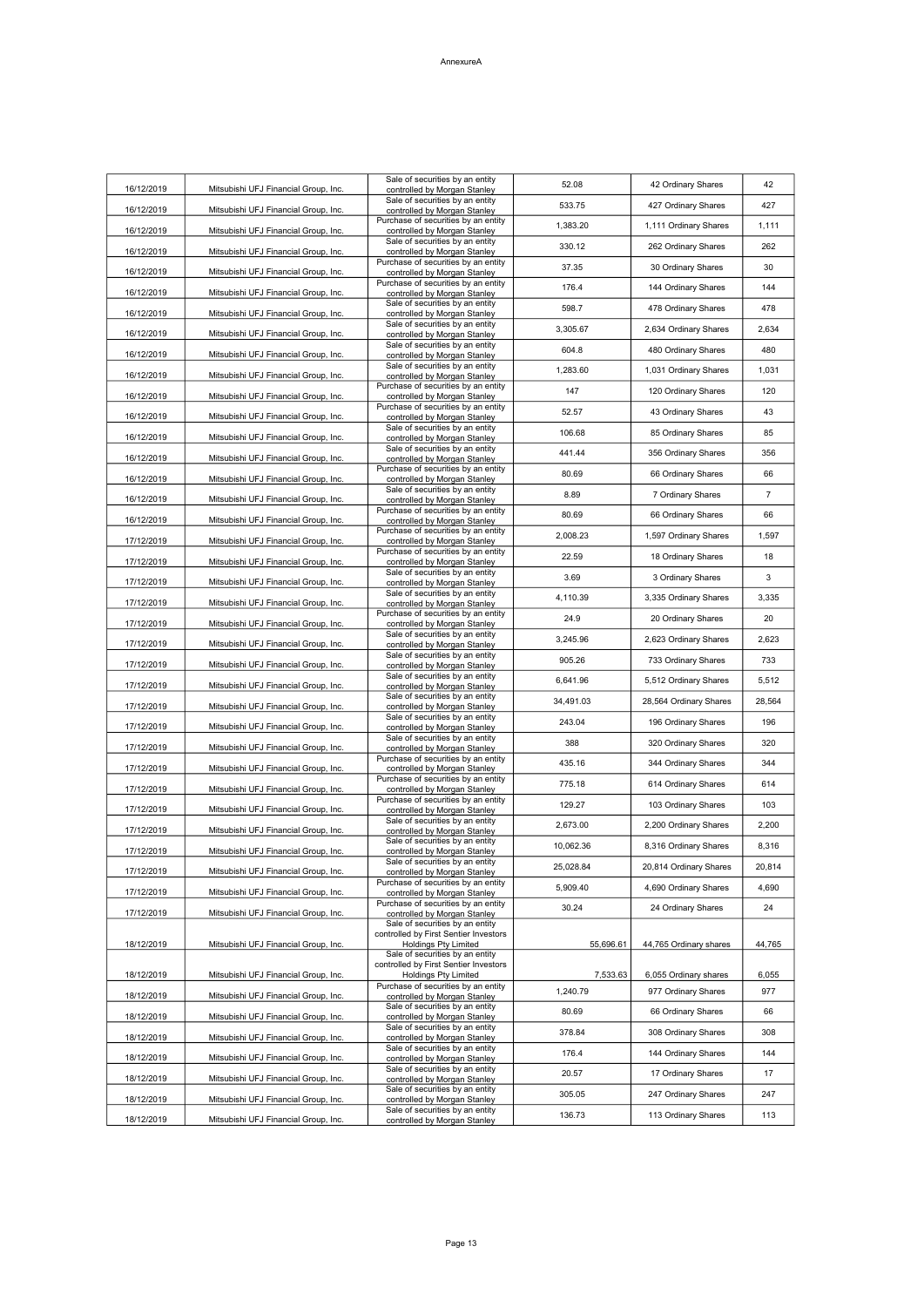| 16/12/2019 | Mitsubishi UFJ Financial Group, Inc. | Sale of securities by an entity<br>controlled by Morgan Stanley                                            | 52.08     | 42 Ordinary Shares     | 42     |
|------------|--------------------------------------|------------------------------------------------------------------------------------------------------------|-----------|------------------------|--------|
| 16/12/2019 | Mitsubishi UFJ Financial Group, Inc. | Sale of securities by an entity<br>controlled by Morgan Stanley                                            | 533.75    | 427 Ordinary Shares    | 427    |
| 16/12/2019 | Mitsubishi UFJ Financial Group, Inc. | Purchase of securities by an entity<br>controlled by Morgan Stanley                                        | 1,383.20  | 1,111 Ordinary Shares  | 1,111  |
| 16/12/2019 | Mitsubishi UFJ Financial Group, Inc. | Sale of securities by an entity<br>controlled by Morgan Stanley                                            | 330.12    | 262 Ordinary Shares    | 262    |
| 16/12/2019 | Mitsubishi UFJ Financial Group, Inc. | Purchase of securities by an entity<br>controlled by Morgan Stanley                                        | 37.35     | 30 Ordinary Shares     | 30     |
| 16/12/2019 | Mitsubishi UFJ Financial Group, Inc. | Purchase of securities by an entity<br>controlled by Morgan Stanley                                        | 176.4     | 144 Ordinary Shares    | 144    |
| 16/12/2019 | Mitsubishi UFJ Financial Group, Inc. | Sale of securities by an entity<br>controlled by Morgan Stanley                                            | 598.7     | 478 Ordinary Shares    | 478    |
| 16/12/2019 | Mitsubishi UFJ Financial Group, Inc. | Sale of securities by an entity<br>controlled by Morgan Stanley                                            | 3,305.67  | 2,634 Ordinary Shares  | 2,634  |
| 16/12/2019 | Mitsubishi UFJ Financial Group, Inc. | Sale of securities by an entity<br>controlled by Morgan Stanley                                            | 604.8     | 480 Ordinary Shares    | 480    |
| 16/12/2019 | Mitsubishi UFJ Financial Group, Inc. | Sale of securities by an entity<br>controlled by Morgan Stanley                                            | 1,283.60  | 1,031 Ordinary Shares  | 1,031  |
| 16/12/2019 | Mitsubishi UFJ Financial Group, Inc. | Purchase of securities by an entity<br>controlled by Morgan Stanley                                        | 147       | 120 Ordinary Shares    | 120    |
| 16/12/2019 | Mitsubishi UFJ Financial Group, Inc. | Purchase of securities by an entity<br>controlled by Morgan Stanley                                        | 52.57     | 43 Ordinary Shares     | 43     |
| 16/12/2019 | Mitsubishi UFJ Financial Group, Inc. | Sale of securities by an entity<br>controlled by Morgan Stanley                                            | 106.68    | 85 Ordinary Shares     | 85     |
| 16/12/2019 | Mitsubishi UFJ Financial Group, Inc. | Sale of securities by an entity<br>controlled by Morgan Stanley                                            | 441.44    | 356 Ordinary Shares    | 356    |
| 16/12/2019 | Mitsubishi UFJ Financial Group, Inc. | Purchase of securities by an entity<br>controlled by Morgan Stanley                                        | 80.69     | 66 Ordinary Shares     | 66     |
| 16/12/2019 | Mitsubishi UFJ Financial Group, Inc. | Sale of securities by an entity<br>controlled by Morgan Stanley                                            | 8.89      | 7 Ordinary Shares      | 7      |
| 16/12/2019 | Mitsubishi UFJ Financial Group, Inc. | Purchase of securities by an entity<br>controlled by Morgan Stanley                                        | 80.69     | 66 Ordinary Shares     | 66     |
| 17/12/2019 | Mitsubishi UFJ Financial Group, Inc. | Purchase of securities by an entity<br>controlled by Morgan Stanley                                        | 2,008.23  | 1,597 Ordinary Shares  | 1,597  |
| 17/12/2019 | Mitsubishi UFJ Financial Group, Inc. | Purchase of securities by an entity<br>controlled by Morgan Stanley                                        | 22.59     | 18 Ordinary Shares     | 18     |
| 17/12/2019 | Mitsubishi UFJ Financial Group, Inc. | Sale of securities by an entity<br>controlled by Morgan Stanley                                            | 3.69      | 3 Ordinary Shares      | 3      |
| 17/12/2019 | Mitsubishi UFJ Financial Group, Inc. | Sale of securities by an entity<br>controlled by Morgan Stanley                                            | 4,110.39  | 3,335 Ordinary Shares  | 3,335  |
| 17/12/2019 | Mitsubishi UFJ Financial Group, Inc. | Purchase of securities by an entity<br>controlled by Morgan Stanley                                        | 24.9      | 20 Ordinary Shares     | 20     |
| 17/12/2019 | Mitsubishi UFJ Financial Group, Inc. | Sale of securities by an entity<br>controlled by Morgan Stanley                                            | 3,245.96  | 2,623 Ordinary Shares  | 2,623  |
| 17/12/2019 | Mitsubishi UFJ Financial Group, Inc. | Sale of securities by an entity<br>controlled by Morgan Stanley                                            | 905.26    | 733 Ordinary Shares    | 733    |
| 17/12/2019 | Mitsubishi UFJ Financial Group, Inc. | Sale of securities by an entity<br>controlled by Morgan Stanley                                            | 6,641.96  | 5,512 Ordinary Shares  | 5,512  |
| 17/12/2019 | Mitsubishi UFJ Financial Group, Inc. | Sale of securities by an entity<br>controlled by Morgan Stanley                                            | 34,491.03 | 28,564 Ordinary Shares | 28,564 |
| 17/12/2019 | Mitsubishi UFJ Financial Group, Inc. | Sale of securities by an entity<br>controlled by Morgan Stanley                                            | 243.04    | 196 Ordinary Shares    | 196    |
| 17/12/2019 | Mitsubishi UFJ Financial Group, Inc. | Sale of securities by an entity<br>controlled by Morgan Stanley                                            | 388       | 320 Ordinary Shares    | 320    |
| 17/12/2019 | Mitsubishi UFJ Financial Group, Inc. | Purchase of securities by an entity<br>controlled by Morgan Stanley                                        | 435.16    | 344 Ordinary Shares    | 344    |
| 17/12/2019 | Mitsubishi UFJ Financial Group, Inc. | Purchase of securities by an entity<br>controlled by Morgan Stanley                                        | 775.18    | 614 Ordinary Shares    | 614    |
| 17/12/2019 | Mitsubishi UFJ Financial Group, Inc. | Purchase of securities by an entity<br>controlled by Morgan Stanley                                        | 129.27    | 103 Ordinary Shares    | 103    |
| 17/12/2019 | Mitsubishi UFJ Financial Group, Inc. | Sale of securities by an entity<br>controlled by Morgan Stanley                                            | 2,673.00  | 2,200 Ordinary Shares  | 2,200  |
| 17/12/2019 | Mitsubishi UFJ Financial Group, Inc. | Sale of securities by an entity<br>controlled by Morgan Stanley                                            | 10,062.36 | 8,316 Ordinary Shares  | 8,316  |
| 17/12/2019 | Mitsubishi UFJ Financial Group, Inc. | Sale of securities by an entity<br>controlled by Morgan Stanley                                            | 25,028.84 | 20,814 Ordinary Shares | 20,814 |
| 17/12/2019 | Mitsubishi UFJ Financial Group, Inc. | Purchase of securities by an entity<br>controlled by Morgan Stanley<br>Purchase of securities by an entity | 5,909.40  | 4,690 Ordinary Shares  | 4,690  |
| 17/12/2019 | Mitsubishi UFJ Financial Group, Inc. | controlled by Morgan Stanley                                                                               | 30.24     | 24 Ordinary Shares     | 24     |
|            |                                      | Sale of securities by an entity<br>controlled by First Sentier Investors                                   |           |                        |        |
| 18/12/2019 | Mitsubishi UFJ Financial Group, Inc. | <b>Holdings Pty Limited</b><br>Sale of securities by an entity                                             | 55,696.61 | 44,765 Ordinary shares | 44,765 |
| 18/12/2019 | Mitsubishi UFJ Financial Group, Inc. | controlled by First Sentier Investors<br><b>Holdings Pty Limited</b>                                       | 7,533.63  | 6,055 Ordinary shares  | 6,055  |
| 18/12/2019 | Mitsubishi UFJ Financial Group, Inc. | Purchase of securities by an entity<br>controlled by Morgan Stanley                                        | 1,240.79  | 977 Ordinary Shares    | 977    |
| 18/12/2019 | Mitsubishi UFJ Financial Group, Inc. | Sale of securities by an entity<br>controlled by Morgan Stanley                                            | 80.69     | 66 Ordinary Shares     | 66     |
| 18/12/2019 | Mitsubishi UFJ Financial Group, Inc. | Sale of securities by an entity<br>controlled by Morgan Stanley                                            | 378.84    | 308 Ordinary Shares    | 308    |
| 18/12/2019 | Mitsubishi UFJ Financial Group, Inc. | Sale of securities by an entity<br>controlled by Morgan Stanley                                            | 176.4     | 144 Ordinary Shares    | 144    |
| 18/12/2019 | Mitsubishi UFJ Financial Group, Inc. | Sale of securities by an entity<br>controlled by Morgan Stanley                                            | 20.57     | 17 Ordinary Shares     | 17     |
| 18/12/2019 | Mitsubishi UFJ Financial Group, Inc. | Sale of securities by an entity<br>controlled by Morgan Stanley                                            | 305.05    | 247 Ordinary Shares    | 247    |
| 18/12/2019 | Mitsubishi UFJ Financial Group, Inc. | Sale of securities by an entity<br>controlled by Morgan Stanley                                            | 136.73    | 113 Ordinary Shares    | 113    |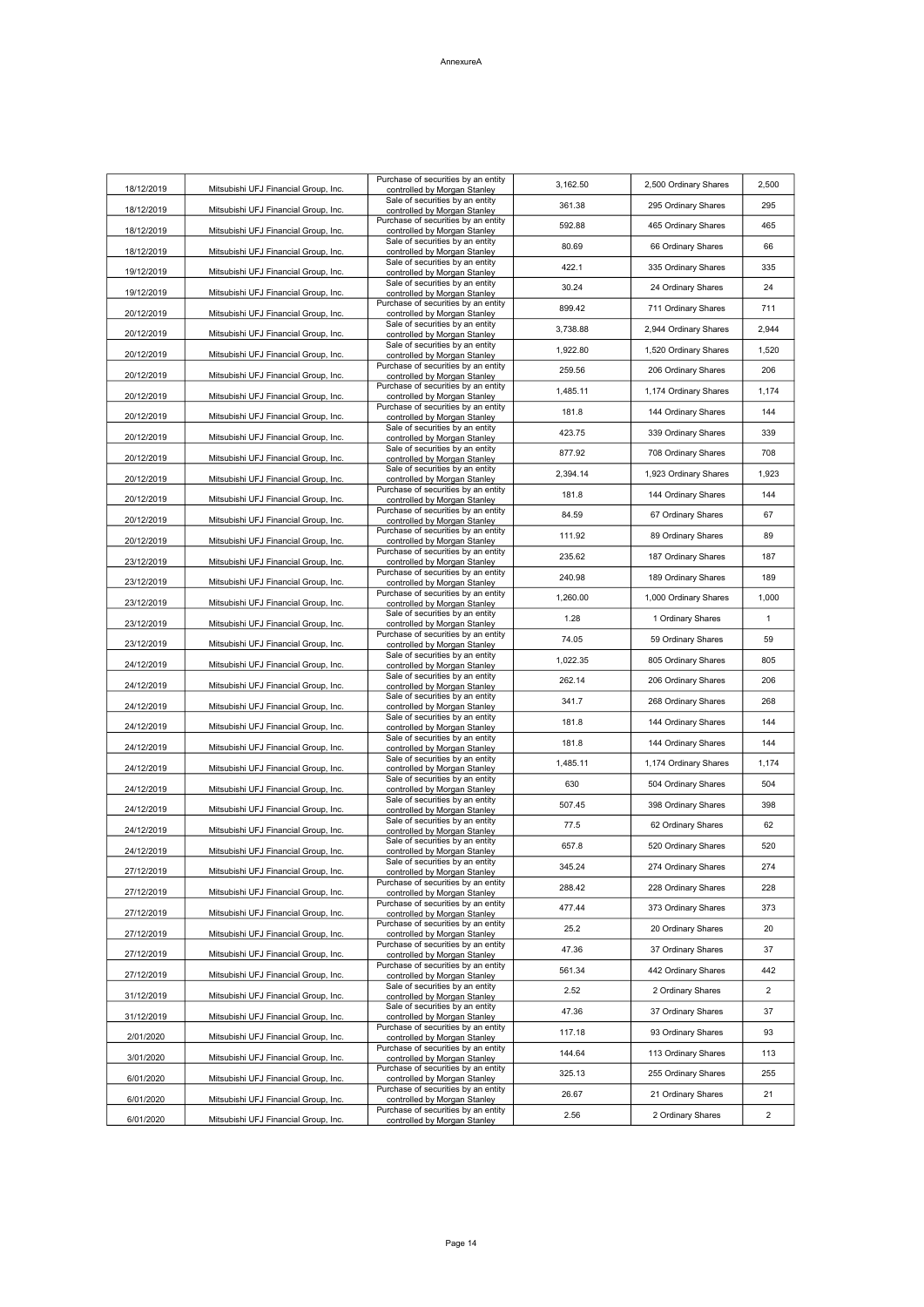| 18/12/2019 | Mitsubishi UFJ Financial Group, Inc. | Purchase of securities by an entity<br>controlled by Morgan Stanley | 3,162.50 | 2,500 Ordinary Shares | 2,500          |
|------------|--------------------------------------|---------------------------------------------------------------------|----------|-----------------------|----------------|
| 18/12/2019 | Mitsubishi UFJ Financial Group, Inc. | Sale of securities by an entity<br>controlled by Morgan Stanley     | 361.38   | 295 Ordinary Shares   | 295            |
| 18/12/2019 | Mitsubishi UFJ Financial Group, Inc. | Purchase of securities by an entity<br>controlled by Morgan Stanley | 592.88   | 465 Ordinary Shares   | 465            |
| 18/12/2019 | Mitsubishi UFJ Financial Group, Inc. | Sale of securities by an entity<br>controlled by Morgan Stanley     | 80.69    | 66 Ordinary Shares    | 66             |
| 19/12/2019 | Mitsubishi UFJ Financial Group, Inc. | Sale of securities by an entity<br>controlled by Morgan Stanley     | 422.1    | 335 Ordinary Shares   | 335            |
| 19/12/2019 | Mitsubishi UFJ Financial Group, Inc  | Sale of securities by an entity                                     | 30.24    | 24 Ordinary Shares    | 24             |
|            |                                      | controlled by Morgan Stanley<br>Purchase of securities by an entity | 899.42   | 711 Ordinary Shares   | 711            |
| 20/12/2019 | Mitsubishi UFJ Financial Group, Inc. | controlled by Morgan Stanley<br>Sale of securities by an entity     | 3,738.88 | 2,944 Ordinary Shares | 2,944          |
| 20/12/2019 | Mitsubishi UFJ Financial Group, Inc. | controlled by Morgan Stanley<br>Sale of securities by an entity     | 1,922.80 | 1,520 Ordinary Shares | 1,520          |
| 20/12/2019 | Mitsubishi UFJ Financial Group, Inc. | controlled by Morgan Stanley<br>Purchase of securities by an entity | 259.56   | 206 Ordinary Shares   | 206            |
| 20/12/2019 | Mitsubishi UFJ Financial Group, Inc  | controlled by Morgan Stanley<br>Purchase of securities by an entity |          | 1,174 Ordinary Shares |                |
| 20/12/2019 | Mitsubishi UFJ Financial Group, Inc. | controlled by Morgan Stanley<br>Purchase of securities by an entity | 1,485.11 |                       | 1,174          |
| 20/12/2019 | Mitsubishi UFJ Financial Group, Inc. | controlled by Morgan Stanley<br>Sale of securities by an entity     | 181.8    | 144 Ordinary Shares   | 144            |
| 20/12/2019 | Mitsubishi UFJ Financial Group, Inc. | controlled by Morgan Stanley<br>Sale of securities by an entity     | 423.75   | 339 Ordinary Shares   | 339            |
| 20/12/2019 | Mitsubishi UFJ Financial Group, Inc. | controlled by Morgan Stanley<br>Sale of securities by an entity     | 877.92   | 708 Ordinary Shares   | 708            |
| 20/12/2019 | Mitsubishi UFJ Financial Group, Inc. | controlled by Morgan Stanley                                        | 2,394.14 | 1,923 Ordinary Shares | 1,923          |
| 20/12/2019 | Mitsubishi UFJ Financial Group, Inc. | Purchase of securities by an entity<br>controlled by Morgan Stanley | 181.8    | 144 Ordinary Shares   | 144            |
| 20/12/2019 | Mitsubishi UFJ Financial Group, Inc. | Purchase of securities by an entity<br>controlled by Morgan Stanley | 84.59    | 67 Ordinary Shares    | 67             |
| 20/12/2019 | Mitsubishi UFJ Financial Group, Inc. | Purchase of securities by an entity<br>controlled by Morgan Stanley | 111.92   | 89 Ordinary Shares    | 89             |
| 23/12/2019 | Mitsubishi UFJ Financial Group, Inc. | Purchase of securities by an entity<br>controlled by Morgan Stanley | 235.62   | 187 Ordinary Shares   | 187            |
| 23/12/2019 | Mitsubishi UFJ Financial Group, Inc. | Purchase of securities by an entity<br>controlled by Morgan Stanley | 240.98   | 189 Ordinary Shares   | 189            |
| 23/12/2019 | Mitsubishi UFJ Financial Group, Inc. | Purchase of securities by an entity<br>controlled by Morgan Stanley | 1.260.00 | 1,000 Ordinary Shares | 1,000          |
| 23/12/2019 | Mitsubishi UFJ Financial Group, Inc. | Sale of securities by an entity<br>controlled by Morgan Stanley     | 1.28     | 1 Ordinary Shares     | $\mathbf{1}$   |
| 23/12/2019 | Mitsubishi UFJ Financial Group, Inc. | Purchase of securities by an entity<br>controlled by Morgan Stanley | 74.05    | 59 Ordinary Shares    | 59             |
| 24/12/2019 | Mitsubishi UFJ Financial Group, Inc. | Sale of securities by an entity<br>controlled by Morgan Stanley     | 1,022.35 | 805 Ordinary Shares   | 805            |
| 24/12/2019 | Mitsubishi UFJ Financial Group, Inc. | Sale of securities by an entity<br>controlled by Morgan Stanley     | 262.14   | 206 Ordinary Shares   | 206            |
| 24/12/2019 | Mitsubishi UFJ Financial Group, Inc. | Sale of securities by an entity<br>controlled by Morgan Stanley     | 341.7    | 268 Ordinary Shares   | 268            |
| 24/12/2019 | Mitsubishi UFJ Financial Group, Inc. | Sale of securities by an entity<br>controlled by Morgan Stanley     | 181.8    | 144 Ordinary Shares   | 144            |
| 24/12/2019 | Mitsubishi UFJ Financial Group, Inc. | Sale of securities by an entity                                     | 181.8    | 144 Ordinary Shares   | 144            |
|            |                                      | controlled by Morgan Stanley<br>Sale of securities by an entity     | 1,485.11 | 1,174 Ordinary Shares | 1,174          |
| 24/12/2019 | Mitsubishi UFJ Financial Group, Inc. | controlled by Morgan Stanley<br>Sale of securities by an entity     | 630      | 504 Ordinary Shares   | 504            |
| 24/12/2019 | Mitsubishi UFJ Financial Group, Inc. | controlled by Morgan Stanley<br>Sale of securities by an entity     | 507.45   | 398 Ordinary Shares   | 398            |
| 24/12/2019 | Mitsubishi UFJ Financial Group, Inc. | controlled by Morgan Stanley<br>Sale of securities by an entity     | 77.5     | 62 Ordinary Shares    | 62             |
| 24/12/2019 | Mitsubishi UFJ Financial Group, Inc. | controlled by Morgan Stanley<br>Sale of securities by an entity     | 657.8    | 520 Ordinary Shares   | 520            |
| 24/12/2019 | Mitsubishi UFJ Financial Group, Inc. | controlled by Morgan Stanley<br>Sale of securities by an entity     | 345.24   | 274 Ordinary Shares   | 274            |
| 27/12/2019 | Mitsubishi UFJ Financial Group, Inc. | controlled by Morgan Stanley<br>Purchase of securities by an entity |          |                       | 228            |
| 27/12/2019 | Mitsubishi UFJ Financial Group, Inc. | controlled by Morgan Stanley<br>Purchase of securities by an entity | 288.42   | 228 Ordinary Shares   |                |
| 27/12/2019 | Mitsubishi UFJ Financial Group, Inc. | controlled by Morgan Stanley<br>Purchase of securities by an entity | 477.44   | 373 Ordinary Shares   | 373            |
| 27/12/2019 | Mitsubishi UFJ Financial Group, Inc. | controlled by Morgan Stanley<br>Purchase of securities by an entity | 25.2     | 20 Ordinary Shares    | 20             |
| 27/12/2019 | Mitsubishi UFJ Financial Group, Inc. | controlled by Morgan Stanley<br>Purchase of securities by an entity | 47.36    | 37 Ordinary Shares    | 37             |
| 27/12/2019 | Mitsubishi UFJ Financial Group, Inc. | controlled by Morgan Stanley                                        | 561.34   | 442 Ordinary Shares   | 442            |
| 31/12/2019 | Mitsubishi UFJ Financial Group, Inc. | Sale of securities by an entity<br>controlled by Morgan Stanley     | 2.52     | 2 Ordinary Shares     | $\overline{2}$ |
| 31/12/2019 | Mitsubishi UFJ Financial Group, Inc. | Sale of securities by an entity<br>controlled by Morgan Stanley     | 47.36    | 37 Ordinary Shares    | 37             |
| 2/01/2020  | Mitsubishi UFJ Financial Group, Inc. | Purchase of securities by an entity<br>controlled by Morgan Stanley | 117.18   | 93 Ordinary Shares    | 93             |
| 3/01/2020  | Mitsubishi UFJ Financial Group, Inc. | Purchase of securities by an entity<br>controlled by Morgan Stanley | 144.64   | 113 Ordinary Shares   | 113            |
| 6/01/2020  | Mitsubishi UFJ Financial Group, Inc. | Purchase of securities by an entity<br>controlled by Morgan Stanley | 325.13   | 255 Ordinary Shares   | 255            |
| 6/01/2020  | Mitsubishi UFJ Financial Group, Inc. | Purchase of securities by an entity<br>controlled by Morgan Stanley | 26.67    | 21 Ordinary Shares    | 21             |
| 6/01/2020  | Mitsubishi UFJ Financial Group, Inc. | Purchase of securities by an entity<br>controlled by Morgan Stanley | 2.56     | 2 Ordinary Shares     | $\overline{c}$ |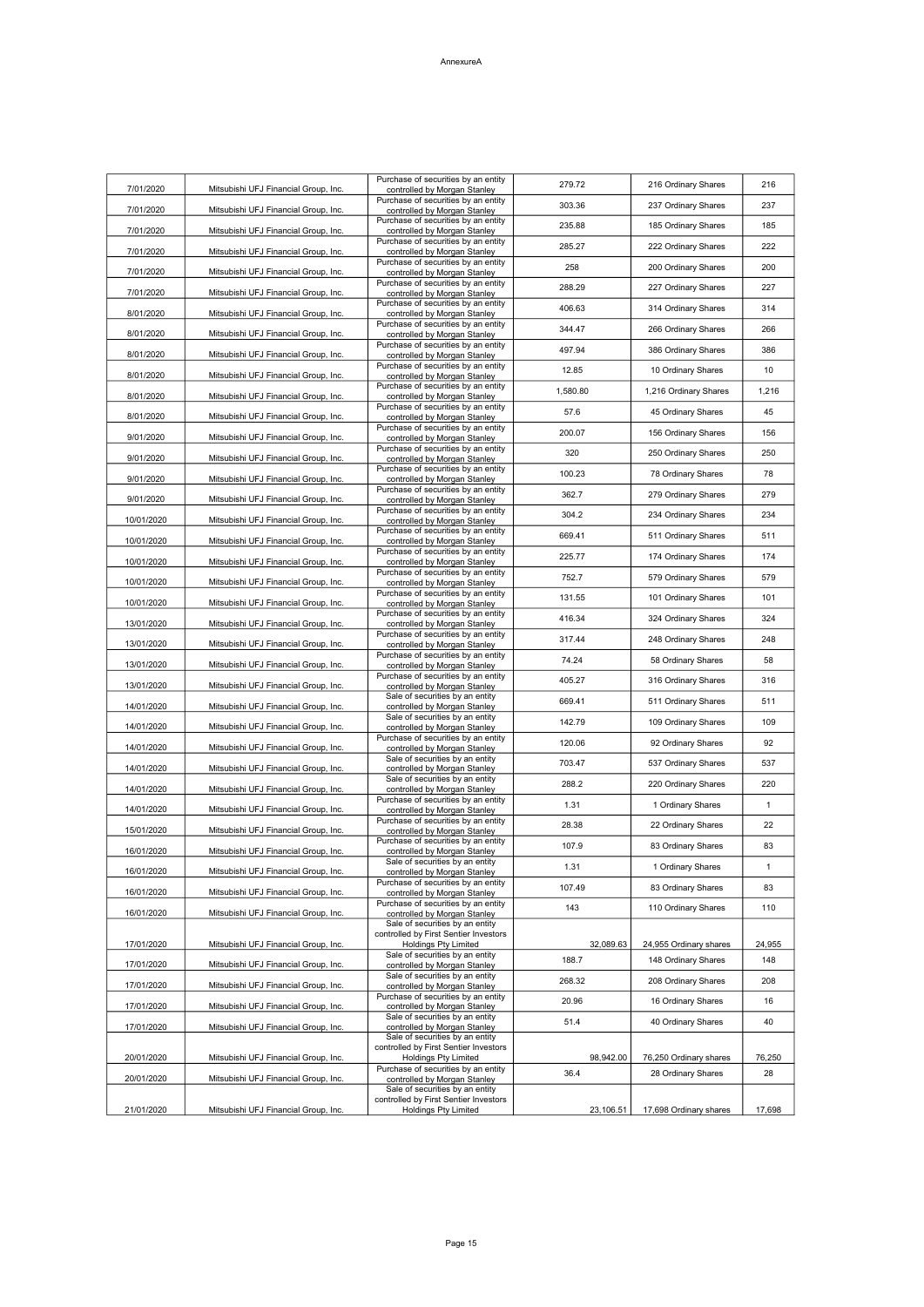| 7/01/2020  | Mitsubishi UFJ Financial Group, Inc. | Purchase of securities by an entity<br>controlled by Morgan Stanley      | 279.72    | 216 Ordinary Shares    | 216          |
|------------|--------------------------------------|--------------------------------------------------------------------------|-----------|------------------------|--------------|
| 7/01/2020  | Mitsubishi UFJ Financial Group, Inc. | Purchase of securities by an entity<br>controlled by Morgan Stanley      | 303.36    | 237 Ordinary Shares    | 237          |
| 7/01/2020  | Mitsubishi UFJ Financial Group, Inc. | Purchase of securities by an entity<br>controlled by Morgan Stanley      | 235.88    | 185 Ordinary Shares    | 185          |
| 7/01/2020  | Mitsubishi UFJ Financial Group, Inc. | Purchase of securities by an entity<br>controlled by Morgan Stanley      | 285.27    | 222 Ordinary Shares    | 222          |
| 7/01/2020  | Mitsubishi UFJ Financial Group, Inc. | Purchase of securities by an entity                                      | 258       | 200 Ordinary Shares    | 200          |
|            |                                      | controlled by Morgan Stanley<br>Purchase of securities by an entity      | 288.29    | 227 Ordinary Shares    | 227          |
| 7/01/2020  | Mitsubishi UFJ Financial Group, Inc. | controlled by Morgan Stanley<br>Purchase of securities by an entity      | 406.63    | 314 Ordinary Shares    | 314          |
| 8/01/2020  | Mitsubishi UFJ Financial Group, Inc. | controlled by Morgan Stanley<br>Purchase of securities by an entity      | 344.47    | 266 Ordinary Shares    | 266          |
| 8/01/2020  | Mitsubishi UFJ Financial Group, Inc. | controlled by Morgan Stanley<br>Purchase of securities by an entity      | 497.94    | 386 Ordinary Shares    | 386          |
| 8/01/2020  | Mitsubishi UFJ Financial Group, Inc. | controlled by Morgan Stanley<br>Purchase of securities by an entity      | 12.85     | 10 Ordinary Shares     | 10           |
| 8/01/2020  | Mitsubishi UFJ Financial Group, Inc. | controlled by Morgan Stanley<br>Purchase of securities by an entity      | 1.580.80  | 1,216 Ordinary Shares  | 1,216        |
| 8/01/2020  | Mitsubishi UFJ Financial Group, Inc. | controlled by Morgan Stanley<br>Purchase of securities by an entity      | 57.6      | 45 Ordinary Shares     | 45           |
| 8/01/2020  | Mitsubishi UFJ Financial Group, Inc. | controlled by Morgan Stanley<br>Purchase of securities by an entity      | 200.07    | 156 Ordinary Shares    | 156          |
| 9/01/2020  | Mitsubishi UFJ Financial Group, Inc. | controlled by Morgan Stanley<br>Purchase of securities by an entity      | 320       | 250 Ordinary Shares    | 250          |
| 9/01/2020  | Mitsubishi UFJ Financial Group, Inc. | controlled by Morgan Stanley<br>Purchase of securities by an entity      |           |                        |              |
| 9/01/2020  | Mitsubishi UFJ Financial Group, Inc. | controlled by Morgan Stanley<br>Purchase of securities by an entity      | 100.23    | 78 Ordinary Shares     | 78           |
| 9/01/2020  | Mitsubishi UFJ Financial Group, Inc. | controlled by Morgan Stanley<br>Purchase of securities by an entity      | 362.7     | 279 Ordinary Shares    | 279          |
| 10/01/2020 | Mitsubishi UFJ Financial Group, Inc. | controlled by Morgan Stanley<br>Purchase of securities by an entity      | 304.2     | 234 Ordinary Shares    | 234          |
| 10/01/2020 | Mitsubishi UFJ Financial Group, Inc. | controlled by Morgan Stanley<br>Purchase of securities by an entity      | 669.41    | 511 Ordinary Shares    | 511          |
| 10/01/2020 | Mitsubishi UFJ Financial Group, Inc. | controlled by Morgan Stanley<br>Purchase of securities by an entity      | 225.77    | 174 Ordinary Shares    | 174          |
| 10/01/2020 | Mitsubishi UFJ Financial Group, Inc. | controlled by Morgan Stanley<br>Purchase of securities by an entity      | 752.7     | 579 Ordinary Shares    | 579          |
| 10/01/2020 | Mitsubishi UFJ Financial Group, Inc. | controlled by Morgan Stanley<br>Purchase of securities by an entity      | 131.55    | 101 Ordinary Shares    | 101          |
| 13/01/2020 | Mitsubishi UFJ Financial Group, Inc. | controlled by Morgan Stanley<br>Purchase of securities by an entity      | 416.34    | 324 Ordinary Shares    | 324          |
| 13/01/2020 | Mitsubishi UFJ Financial Group, Inc. | controlled by Morgan Stanley                                             | 317.44    | 248 Ordinary Shares    | 248          |
| 13/01/2020 | Mitsubishi UFJ Financial Group, Inc. | Purchase of securities by an entity<br>controlled by Morgan Stanley      | 74.24     | 58 Ordinary Shares     | 58           |
| 13/01/2020 | Mitsubishi UFJ Financial Group, Inc. | Purchase of securities by an entity<br>controlled by Morgan Stanley      | 405.27    | 316 Ordinary Shares    | 316          |
| 14/01/2020 | Mitsubishi UFJ Financial Group, Inc. | Sale of securities by an entity<br>controlled by Morgan Stanley          | 669.41    | 511 Ordinary Shares    | 511          |
| 14/01/2020 | Mitsubishi UFJ Financial Group, Inc. | Sale of securities by an entity<br>controlled by Morgan Stanley          | 142.79    | 109 Ordinary Shares    | 109          |
| 14/01/2020 | Mitsubishi UFJ Financial Group, Inc. | Purchase of securities by an entity<br>controlled by Morgan Stanley      | 120.06    | 92 Ordinary Shares     | 92           |
| 14/01/2020 | Mitsubishi UFJ Financial Group, Inc. | Sale of securities by an entity<br>controlled by Morgan Stanley          | 703.47    | 537 Ordinary Shares    | 537          |
| 14/01/2020 | Mitsubishi UFJ Financial Group, Inc. | Sale of securities by an entity<br>controlled by Morgan Stanley          | 288.2     | 220 Ordinary Shares    | 220          |
| 14/01/2020 | Mitsubishi UFJ Financial Group, Inc. | Purchase of securities by an entity<br>controlled by Morgan Stanley      | 1.31      | 1 Ordinary Shares      | 1            |
| 15/01/2020 | Mitsubishi UFJ Financial Group, Inc. | Purchase of securities by an entity<br>controlled by Morgan Stanley      | 28.38     | 22 Ordinary Shares     | 22           |
| 16/01/2020 | Mitsubishi UFJ Financial Group, Inc. | Purchase of securities by an entity<br>controlled by Morgan Stanley      | 107.9     | 83 Ordinary Shares     | 83           |
| 16/01/2020 | Mitsubishi UFJ Financial Group, Inc. | Sale of securities by an entity<br>controlled by Morgan Stanley          | 1.31      | 1 Ordinary Shares      | 1            |
| 16/01/2020 | Mitsubishi UFJ Financial Group, Inc. | Purchase of securities by an entity<br>controlled by Morgan Stanley      | 107.49    | 83 Ordinary Shares     | 83           |
| 16/01/2020 | Mitsubishi UFJ Financial Group, Inc. | Purchase of securities by an entity<br>controlled by Morgan Stanley      | 143       | 110 Ordinary Shares    | 110          |
|            |                                      | Sale of securities by an entity<br>controlled by First Sentier Investors |           |                        |              |
| 17/01/2020 | Mitsubishi UFJ Financial Group, Inc. | <b>Holdings Pty Limited</b><br>Sale of securities by an entity           | 32,089.63 | 24,955 Ordinary shares | 24,955       |
| 17/01/2020 | Mitsubishi UFJ Financial Group, Inc. | controlled by Morgan Stanley<br>Sale of securities by an entity          | 188.7     | 148 Ordinary Shares    | 148          |
| 17/01/2020 | Mitsubishi UFJ Financial Group, Inc. | controlled by Morgan Stanley<br>Purchase of securities by an entity      | 268.32    | 208 Ordinary Shares    | 208          |
| 17/01/2020 | Mitsubishi UFJ Financial Group, Inc. | controlled by Morgan Stanley<br>Sale of securities by an entity          | 20.96     | 16 Ordinary Shares     | 16           |
| 17/01/2020 | Mitsubishi UFJ Financial Group, Inc. | controlled by Morgan Stanley<br>Sale of securities by an entity          | 51.4      | 40 Ordinary Shares     | 40           |
| 20/01/2020 | Mitsubishi UFJ Financial Group, Inc. | controlled by First Sentier Investors                                    | 98,942.00 | 76,250 Ordinary shares |              |
|            |                                      | Holdings Pty Limited<br>Purchase of securities by an entity              | 36.4      | 28 Ordinary Shares     | 76,250<br>28 |
| 20/01/2020 | Mitsubishi UFJ Financial Group, Inc. | controlled by Morgan Stanley<br>Sale of securities by an entity          |           |                        |              |
| 21/01/2020 | Mitsubishi UFJ Financial Group, Inc. | controlled by First Sentier Investors<br><b>Holdings Pty Limited</b>     | 23,106.51 | 17,698 Ordinary shares | 17,698       |